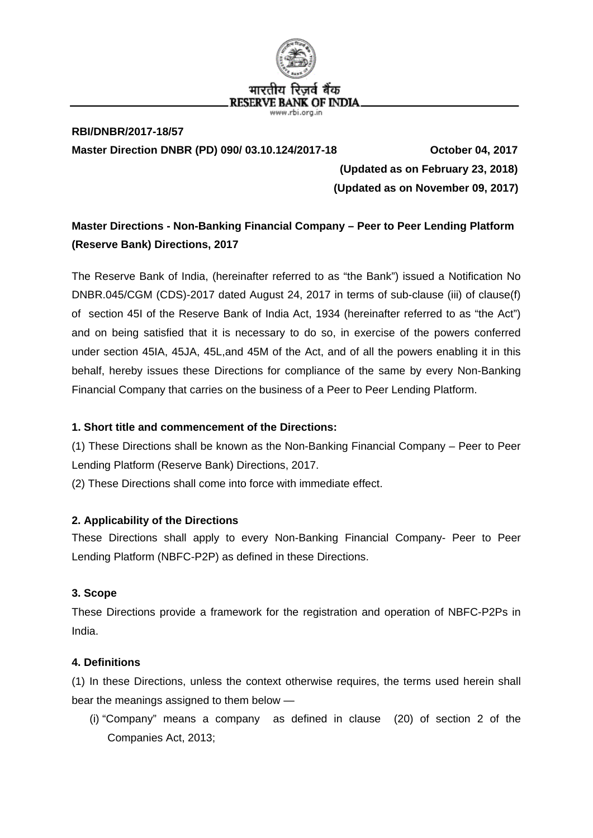

## **RBI/DNBR/2017-18/57 Master Direction DNBR (PD) 090/ 03.10.124/2017-18 October 04, 2017**

 **(Updated as on February 23, 2018) (Updated as on November 09, 2017)**

## **Master Directions - Non-Banking Financial Company – Peer to Peer Lending Platform (Reserve Bank) Directions, 2017**

The Reserve Bank of India, (hereinafter referred to as "the Bank") issued a Notification No DNBR.045/CGM (CDS)-2017 dated August 24, 2017 in terms of sub-clause (iii) of clause(f) of section 45I of the Reserve Bank of India Act, 1934 (hereinafter referred to as "the Act") and on being satisfied that it is necessary to do so, in exercise of the powers conferred under section 45IA, 45JA, 45L,and 45M of the Act, and of all the powers enabling it in this behalf, hereby issues these Directions for compliance of the same by every Non-Banking Financial Company that carries on the business of a Peer to Peer Lending Platform.

## **1. Short title and commencement of the Directions:**

(1) These Directions shall be known as the Non-Banking Financial Company – Peer to Peer Lending Platform (Reserve Bank) Directions, 2017.

(2) These Directions shall come into force with immediate effect.

## **2. Applicability of the Directions**

These Directions shall apply to every Non-Banking Financial Company- Peer to Peer Lending Platform (NBFC-P2P) as defined in these Directions.

## **3. Scope**

These Directions provide a framework for the registration and operation of NBFC-P2Ps in India.

## **4. Definitions**

(1) In these Directions, unless the context otherwise requires, the terms used herein shall bear the meanings assigned to them below —

(i) "Company" means a company as defined in clause (20) of section 2 of the Companies Act, 2013;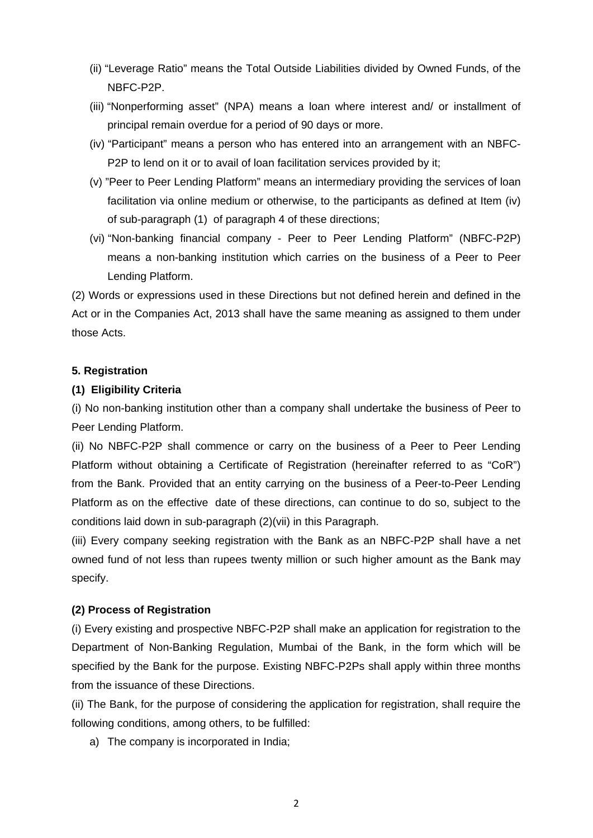- (ii) "Leverage Ratio" means the Total Outside Liabilities divided by Owned Funds, of the NBFC-P2P.
- (iii) "Nonperforming asset" (NPA) means a loan where interest and/ or installment of principal remain overdue for a period of 90 days or more.
- (iv) "Participant" means a person who has entered into an arrangement with an NBFC-P2P to lend on it or to avail of loan facilitation services provided by it;
- (v) "Peer to Peer Lending Platform" means an intermediary providing the services of loan facilitation via online medium or otherwise, to the participants as defined at Item (iv) of sub-paragraph (1) of paragraph 4 of these directions;
- (vi) "Non-banking financial company Peer to Peer Lending Platform" (NBFC-P2P) means a non-banking institution which carries on the business of a Peer to Peer Lending Platform.

(2) Words or expressions used in these Directions but not defined herein and defined in the Act or in the Companies Act, 2013 shall have the same meaning as assigned to them under those Acts.

## **5. Registration**

## **(1) Eligibility Criteria**

(i) No non-banking institution other than a company shall undertake the business of Peer to Peer Lending Platform.

(ii) No NBFC-P2P shall commence or carry on the business of a Peer to Peer Lending Platform without obtaining a Certificate of Registration (hereinafter referred to as "CoR") from the Bank. Provided that an entity carrying on the business of a Peer-to-Peer Lending Platform as on the effective date of these directions, can continue to do so, subject to the conditions laid down in sub-paragraph (2)(vii) in this Paragraph.

(iii) Every company seeking registration with the Bank as an NBFC-P2P shall have a net owned fund of not less than rupees twenty million or such higher amount as the Bank may specify.

#### **(2) Process of Registration**

(i) Every existing and prospective NBFC-P2P shall make an application for registration to the Department of Non-Banking Regulation, Mumbai of the Bank, in the form which will be specified by the Bank for the purpose. Existing NBFC-P2Ps shall apply within three months from the issuance of these Directions.

(ii) The Bank, for the purpose of considering the application for registration, shall require the following conditions, among others, to be fulfilled:

a) The company is incorporated in India;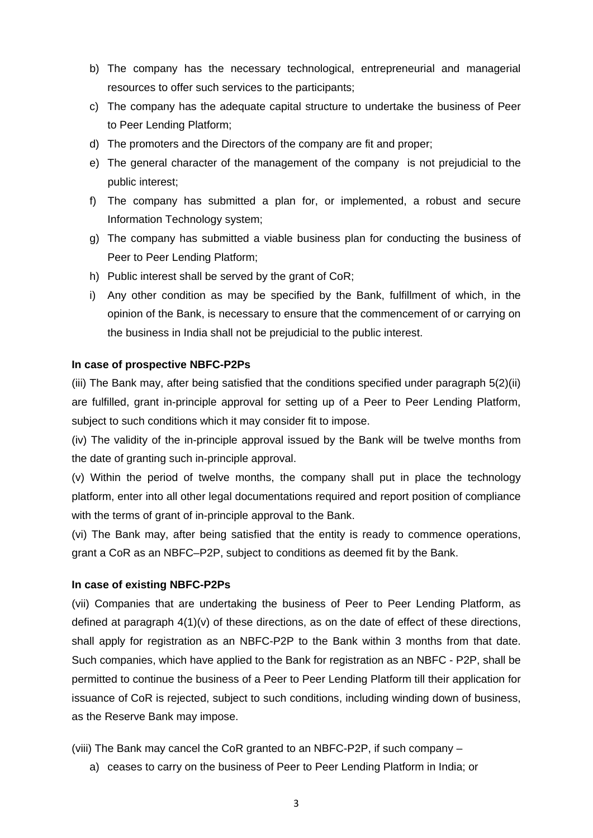- b) The company has the necessary technological, entrepreneurial and managerial resources to offer such services to the participants;
- c) The company has the adequate capital structure to undertake the business of Peer to Peer Lending Platform;
- d) The promoters and the Directors of the company are fit and proper;
- e) The general character of the management of the company is not prejudicial to the public interest;
- f) The company has submitted a plan for, or implemented, a robust and secure Information Technology system;
- g) The company has submitted a viable business plan for conducting the business of Peer to Peer Lending Platform;
- h) Public interest shall be served by the grant of CoR;
- i) Any other condition as may be specified by the Bank, fulfillment of which, in the opinion of the Bank, is necessary to ensure that the commencement of or carrying on the business in India shall not be prejudicial to the public interest.

#### **In case of prospective NBFC-P2Ps**

(iii) The Bank may, after being satisfied that the conditions specified under paragraph 5(2)(ii) are fulfilled, grant in-principle approval for setting up of a Peer to Peer Lending Platform, subject to such conditions which it may consider fit to impose.

(iv) The validity of the in-principle approval issued by the Bank will be twelve months from the date of granting such in-principle approval.

(v) Within the period of twelve months, the company shall put in place the technology platform, enter into all other legal documentations required and report position of compliance with the terms of grant of in-principle approval to the Bank.

(vi) The Bank may, after being satisfied that the entity is ready to commence operations, grant a CoR as an NBFC–P2P, subject to conditions as deemed fit by the Bank.

#### **In case of existing NBFC-P2Ps**

(vii) Companies that are undertaking the business of Peer to Peer Lending Platform, as defined at paragraph  $4(1)(v)$  of these directions, as on the date of effect of these directions, shall apply for registration as an NBFC-P2P to the Bank within 3 months from that date. Such companies, which have applied to the Bank for registration as an NBFC - P2P, shall be permitted to continue the business of a Peer to Peer Lending Platform till their application for issuance of CoR is rejected, subject to such conditions, including winding down of business, as the Reserve Bank may impose.

(viii) The Bank may cancel the CoR granted to an NBFC-P2P, if such company –

a) ceases to carry on the business of Peer to Peer Lending Platform in India; or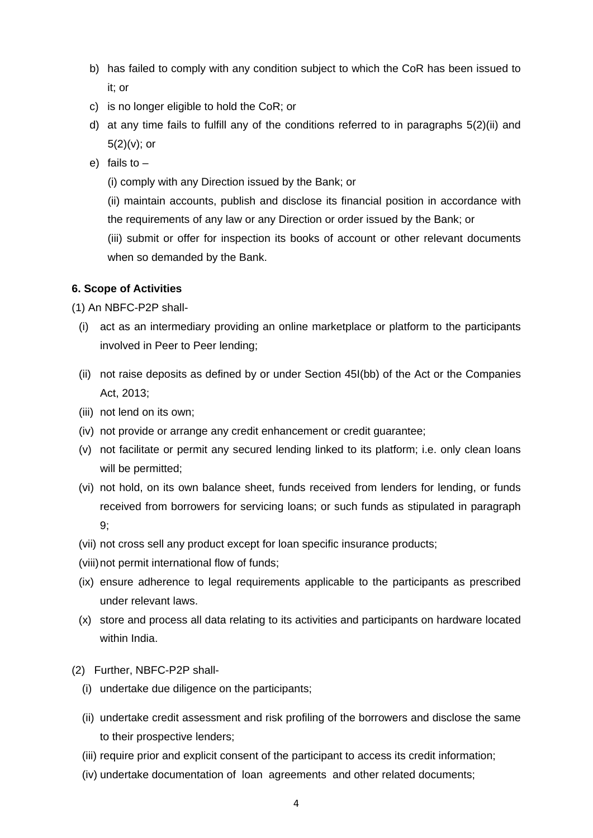- b) has failed to comply with any condition subject to which the CoR has been issued to it; or
- c) is no longer eligible to hold the CoR; or
- d) at any time fails to fulfill any of the conditions referred to in paragraphs 5(2)(ii) and  $5(2)(v)$ ; or
- e) fails to
	- (i) comply with any Direction issued by the Bank; or

(ii) maintain accounts, publish and disclose its financial position in accordance with the requirements of any law or any Direction or order issued by the Bank; or

(iii) submit or offer for inspection its books of account or other relevant documents when so demanded by the Bank.

## **6. Scope of Activities**

(1) An NBFC-P2P shall-

- (i) act as an intermediary providing an online marketplace or platform to the participants involved in Peer to Peer lending;
- (ii) not raise deposits as defined by or under Section 45I(bb) of the Act or the Companies Act, 2013;
- (iii) not lend on its own;
- (iv) not provide or arrange any credit enhancement or credit guarantee;
- (v) not facilitate or permit any secured lending linked to its platform; i.e. only clean loans will be permitted;
- (vi) not hold, on its own balance sheet, funds received from lenders for lending, or funds received from borrowers for servicing loans; or such funds as stipulated in paragraph 9;
- (vii) not cross sell any product except for loan specific insurance products;
- (viii) not permit international flow of funds;
- (ix) ensure adherence to legal requirements applicable to the participants as prescribed under relevant laws.
- (x) store and process all data relating to its activities and participants on hardware located within India.
- (2) Further, NBFC-P2P shall-
	- (i) undertake due diligence on the participants;
	- (ii) undertake credit assessment and risk profiling of the borrowers and disclose the same to their prospective lenders;
	- (iii) require prior and explicit consent of the participant to access its credit information;
	- (iv) undertake documentation of loan agreements and other related documents;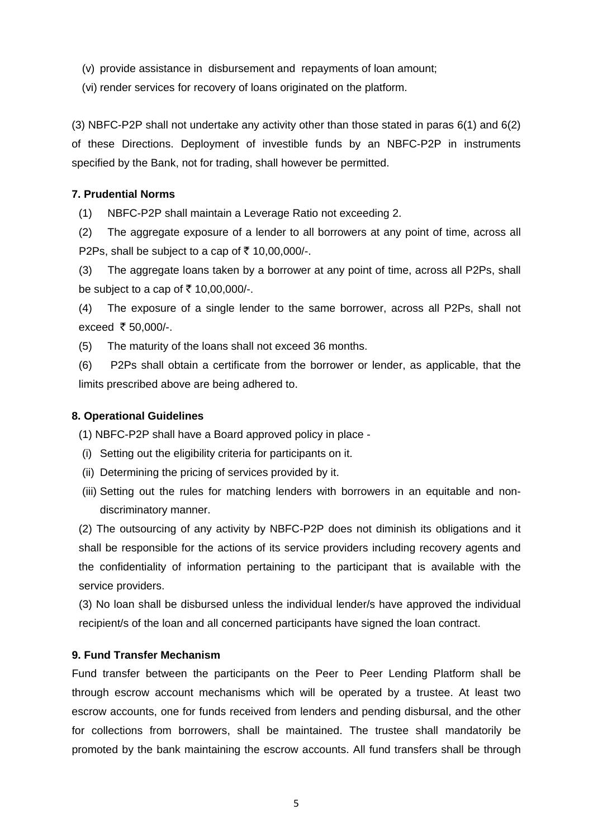- (v) provide assistance in disbursement and repayments of loan amount;
- (vi) render services for recovery of loans originated on the platform.

(3) NBFC-P2P shall not undertake any activity other than those stated in paras 6(1) and 6(2) of these Directions. Deployment of investible funds by an NBFC-P2P in instruments specified by the Bank, not for trading, shall however be permitted.

## **7. Prudential Norms**

(1) NBFC-P2P shall maintain a Leverage Ratio not exceeding 2.

(2) The aggregate exposure of a lender to all borrowers at any point of time, across all P2Ps, shall be subject to a cap of  $\bar{\tau}$  10,00,000/-.

(3) The aggregate loans taken by a borrower at any point of time, across all P2Ps, shall be subject to a cap of  $\bar{\tau}$  10,00,000/-.

(4) The exposure of a single lender to the same borrower, across all P2Ps, shall not exceed  $\bar{\tau}$  50,000/-.

(5) The maturity of the loans shall not exceed 36 months.

(6) P2Ps shall obtain a certificate from the borrower or lender, as applicable, that the limits prescribed above are being adhered to.

## **8. Operational Guidelines**

(1) NBFC-P2P shall have a Board approved policy in place -

- (i) Setting out the eligibility criteria for participants on it.
- (ii) Determining the pricing of services provided by it.
- (iii) Setting out the rules for matching lenders with borrowers in an equitable and nondiscriminatory manner.

(2) The outsourcing of any activity by NBFC-P2P does not diminish its obligations and it shall be responsible for the actions of its service providers including recovery agents and the confidentiality of information pertaining to the participant that is available with the service providers.

(3) No loan shall be disbursed unless the individual lender/s have approved the individual recipient/s of the loan and all concerned participants have signed the loan contract.

## **9. Fund Transfer Mechanism**

Fund transfer between the participants on the Peer to Peer Lending Platform shall be through escrow account mechanisms which will be operated by a trustee. At least two escrow accounts, one for funds received from lenders and pending disbursal, and the other for collections from borrowers, shall be maintained. The trustee shall mandatorily be promoted by the bank maintaining the escrow accounts. All fund transfers shall be through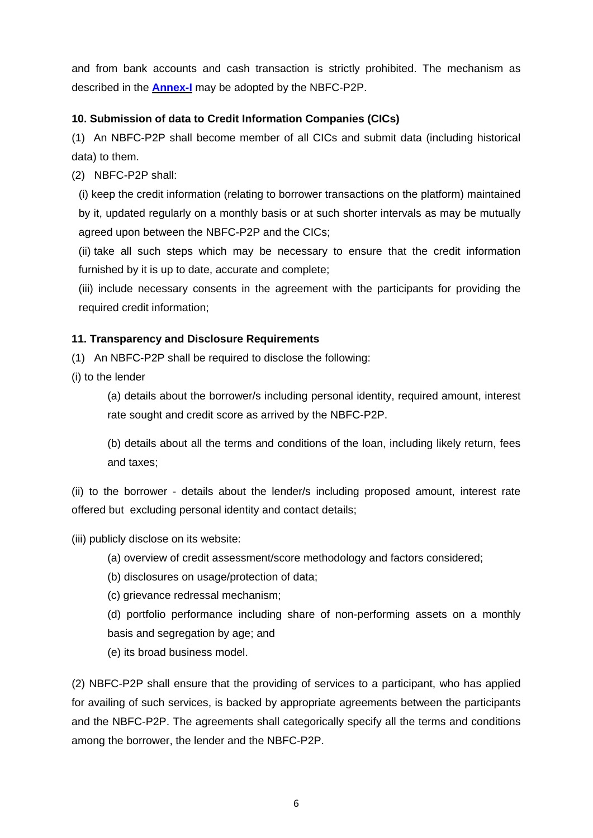and from bank accounts and cash transaction is strictly prohibited. The mechanism as described in the **[Annex-I](#page-11-0)** may be adopted by the NBFC-P2P.

## **10. Submission of data to Credit Information Companies (CICs)**

(1) An NBFC-P2P shall become member of all CICs and submit data (including historical data) to them.

(2) NBFC-P2P shall:

(i) keep the credit information (relating to borrower transactions on the platform) maintained by it, updated regularly on a monthly basis or at such shorter intervals as may be mutually agreed upon between the NBFC-P2P and the CICs;

(ii) take all such steps which may be necessary to ensure that the credit information furnished by it is up to date, accurate and complete;

(iii) include necessary consents in the agreement with the participants for providing the required credit information;

## **11. Transparency and Disclosure Requirements**

(1) An NBFC-P2P shall be required to disclose the following:

(i) to the lender

(a) details about the borrower/s including personal identity, required amount, interest rate sought and credit score as arrived by the NBFC-P2P.

(b) details about all the terms and conditions of the loan, including likely return, fees and taxes;

(ii) to the borrower - details about the lender/s including proposed amount, interest rate offered but excluding personal identity and contact details;

(iii) publicly disclose on its website:

(a) overview of credit assessment/score methodology and factors considered;

(b) disclosures on usage/protection of data;

(c) grievance redressal mechanism;

(d) portfolio performance including share of non-performing assets on a monthly basis and segregation by age; and

(e) its broad business model.

(2) NBFC-P2P shall ensure that the providing of services to a participant, who has applied for availing of such services, is backed by appropriate agreements between the participants and the NBFC-P2P. The agreements shall categorically specify all the terms and conditions among the borrower, the lender and the NBFC-P2P.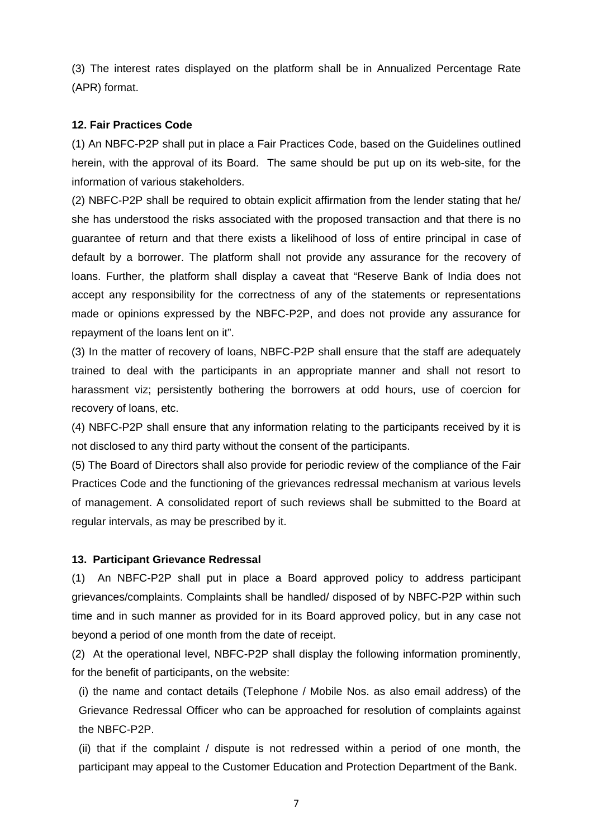(3) The interest rates displayed on the platform shall be in Annualized Percentage Rate (APR) format.

## **12. Fair Practices Code**

(1) An NBFC-P2P shall put in place a Fair Practices Code, based on the Guidelines outlined herein, with the approval of its Board. The same should be put up on its web-site, for the information of various stakeholders.

(2) NBFC-P2P shall be required to obtain explicit affirmation from the lender stating that he/ she has understood the risks associated with the proposed transaction and that there is no guarantee of return and that there exists a likelihood of loss of entire principal in case of default by a borrower. The platform shall not provide any assurance for the recovery of loans. Further, the platform shall display a caveat that "Reserve Bank of India does not accept any responsibility for the correctness of any of the statements or representations made or opinions expressed by the NBFC-P2P, and does not provide any assurance for repayment of the loans lent on it".

(3) In the matter of recovery of loans, NBFC-P2P shall ensure that the staff are adequately trained to deal with the participants in an appropriate manner and shall not resort to harassment viz; persistently bothering the borrowers at odd hours, use of coercion for recovery of loans, etc.

(4) NBFC-P2P shall ensure that any information relating to the participants received by it is not disclosed to any third party without the consent of the participants.

(5) The Board of Directors shall also provide for periodic review of the compliance of the Fair Practices Code and the functioning of the grievances redressal mechanism at various levels of management. A consolidated report of such reviews shall be submitted to the Board at regular intervals, as may be prescribed by it.

## **13. Participant Grievance Redressal**

(1) An NBFC-P2P shall put in place a Board approved policy to address participant grievances/complaints. Complaints shall be handled/ disposed of by NBFC-P2P within such time and in such manner as provided for in its Board approved policy, but in any case not beyond a period of one month from the date of receipt.

(2) At the operational level, NBFC-P2P shall display the following information prominently, for the benefit of participants, on the website:

(i) the name and contact details (Telephone / Mobile Nos. as also email address) of the Grievance Redressal Officer who can be approached for resolution of complaints against the NBFC-P2P.

(ii) that if the complaint / dispute is not redressed within a period of one month, the participant may appeal to the Customer Education and Protection Department of the Bank.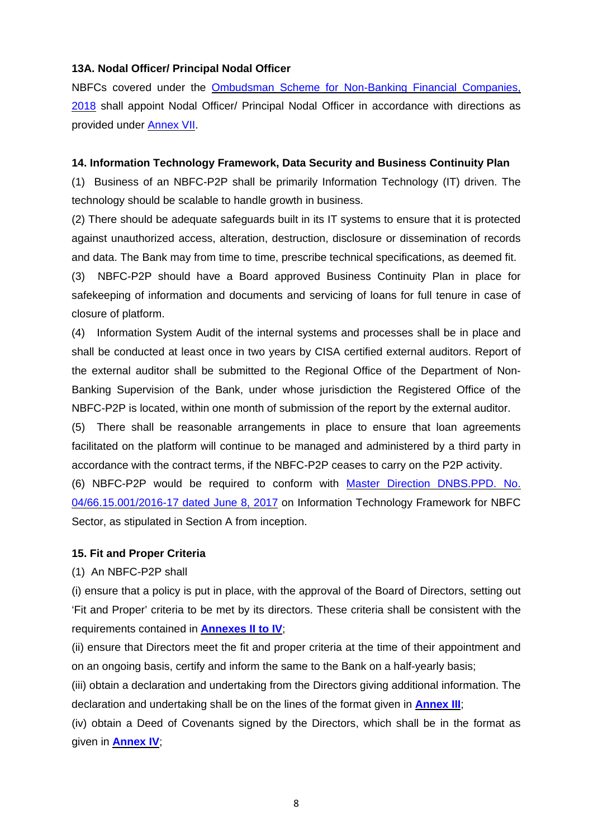## **13A. Nodal Officer/ Principal Nodal Officer**

NBFCs covered under the Ombudsman Scheme for [Non-Banking](https://rbidocs.rbi.org.in/rdocs/Content/PDFs/NBFC23022018.pdf) Financial Companies, [2018](https://rbidocs.rbi.org.in/rdocs/Content/PDFs/NBFC23022018.pdf) shall appoint Nodal Officer/ Principal Nodal Officer in accordance with directions as provided under [Annex](#page-33-0) VII.

## **14. Information Technology Framework, Data Security and Business Continuity Plan**

(1) Business of an NBFC-P2P shall be primarily Information Technology (IT) driven. The technology should be scalable to handle growth in business.

(2) There should be adequate safeguards built in its IT systems to ensure that it is protected against unauthorized access, alteration, destruction, disclosure or dissemination of records and data. The Bank may from time to time, prescribe technical specifications, as deemed fit.

(3) NBFC-P2P should have a Board approved Business Continuity Plan in place for safekeeping of information and documents and servicing of loans for full tenure in case of closure of platform.

(4) Information System Audit of the internal systems and processes shall be in place and shall be conducted at least once in two years by CISA certified external auditors. Report of the external auditor shall be submitted to the Regional Office of the Department of Non-Banking Supervision of the Bank, under whose jurisdiction the Registered Office of the NBFC-P2P is located, within one month of submission of the report by the external auditor.

(5) There shall be reasonable arrangements in place to ensure that loan agreements facilitated on the platform will continue to be managed and administered by a third party in accordance with the contract terms, if the NBFC-P2P ceases to carry on the P2P activity.

(6) NBFC-P2P would be required to conform with Master Direction [DNBS.PPD.](https://www.rbi.org.in/Scripts/BS_ViewMasDirections.aspx?id=10999) No. [04/66.15.001/2016-17](https://www.rbi.org.in/Scripts/BS_ViewMasDirections.aspx?id=10999) dated June 8, 2017 on Information Technology Framework for NBFC Sector, as stipulated in Section A from inception.

## **15. Fit and Proper Criteria**

(1) An NBFC-P2P shall

(i) ensure that a policy is put in place, with the approval of the Board of Directors, setting out 'Fit and Proper' criteria to be met by its directors. These criteria shall be consistent with the requirements contained in **[Annexes](#page-12-0) II to IV**;

(ii) ensure that Directors meet the fit and proper criteria at the time of their appointment and on an ongoing basis, certify and inform the same to the Bank on a half-yearly basis;

(iii) obtain a declaration and undertaking from the Directors giving additional information. The declaration and undertaking shall be on the lines of the format given in **[Annex](#page-13-0) III**;

(iv) obtain a Deed of Covenants signed by the Directors, which shall be in the format as given in **[Annex](#page-16-0) IV**;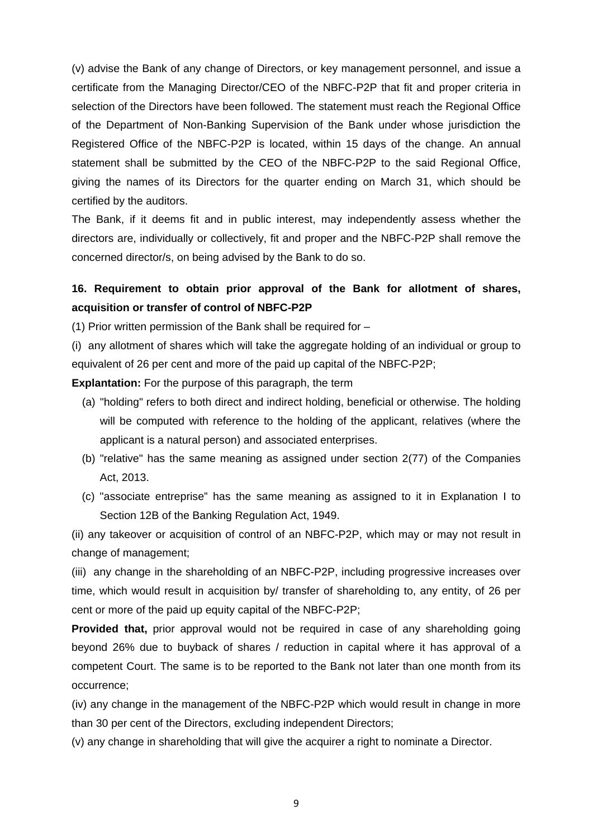(v) advise the Bank of any change of Directors, or key management personnel, and issue a certificate from the Managing Director/CEO of the NBFC-P2P that fit and proper criteria in selection of the Directors have been followed. The statement must reach the Regional Office of the Department of Non-Banking Supervision of the Bank under whose jurisdiction the Registered Office of the NBFC-P2P is located, within 15 days of the change. An annual statement shall be submitted by the CEO of the NBFC-P2P to the said Regional Office, giving the names of its Directors for the quarter ending on March 31, which should be certified by the auditors.

The Bank, if it deems fit and in public interest, may independently assess whether the directors are, individually or collectively, fit and proper and the NBFC-P2P shall remove the concerned director/s, on being advised by the Bank to do so.

## **16. Requirement to obtain prior approval of the Bank for allotment of shares, acquisition or transfer of control of NBFC-P2P**

(1) Prior written permission of the Bank shall be required for –

(i) any allotment of shares which will take the aggregate holding of an individual or group to equivalent of 26 per cent and more of the paid up capital of the NBFC-P2P;

**Explantation:** For the purpose of this paragraph, the term

- (a) "holding" refers to both direct and indirect holding, beneficial or otherwise. The holding will be computed with reference to the holding of the applicant, relatives (where the applicant is a natural person) and associated enterprises.
- (b) "relative" has the same meaning as assigned under section 2(77) of the Companies Act, 2013.
- (c) "associate entreprise" has the same meaning as assigned to it in Explanation I to Section 12B of the Banking Regulation Act, 1949.

(ii) any takeover or acquisition of control of an NBFC-P2P, which may or may not result in change of management;

(iii) any change in the shareholding of an NBFC-P2P, including progressive increases over time, which would result in acquisition by/ transfer of shareholding to, any entity, of 26 per cent or more of the paid up equity capital of the NBFC-P2P;

**Provided that,** prior approval would not be required in case of any shareholding going beyond 26% due to buyback of shares / reduction in capital where it has approval of a competent Court. The same is to be reported to the Bank not later than one month from its occurrence;

(iv) any change in the management of the NBFC-P2P which would result in change in more than 30 per cent of the Directors, excluding independent Directors;

(v) any change in shareholding that will give the acquirer a right to nominate a Director.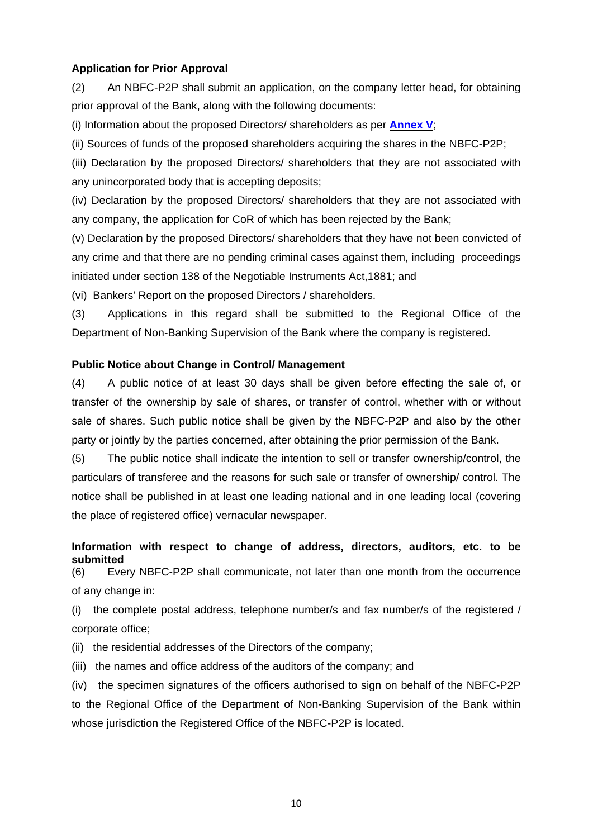## **Application for Prior Approval**

(2) An NBFC-P2P shall submit an application, on the company letter head, for obtaining prior approval of the Bank, along with the following documents:

(i) Information about the proposed Directors/ shareholders as per **[Annex](#page-20-0) V**;

(ii) Sources of funds of the proposed shareholders acquiring the shares in the NBFC-P2P;

(iii) Declaration by the proposed Directors/ shareholders that they are not associated with any unincorporated body that is accepting deposits;

(iv) Declaration by the proposed Directors/ shareholders that they are not associated with any company, the application for CoR of which has been rejected by the Bank;

(v) Declaration by the proposed Directors/ shareholders that they have not been convicted of any crime and that there are no pending criminal cases against them, including proceedings initiated under section 138 of the Negotiable Instruments Act,1881; and

(vi) Bankers' Report on the proposed Directors / shareholders.

(3) Applications in this regard shall be submitted to the Regional Office of the Department of Non-Banking Supervision of the Bank where the company is registered.

#### **Public Notice about Change in Control/ Management**

(4) A public notice of at least 30 days shall be given before effecting the sale of, or transfer of the ownership by sale of shares, or transfer of control, whether with or without sale of shares. Such public notice shall be given by the NBFC-P2P and also by the other party or jointly by the parties concerned, after obtaining the prior permission of the Bank.

(5) The public notice shall indicate the intention to sell or transfer ownership/control, the particulars of transferee and the reasons for such sale or transfer of ownership/ control. The notice shall be published in at least one leading national and in one leading local (covering the place of registered office) vernacular newspaper.

**Information with respect to change of address, directors, auditors, etc. to be submitted**

(6) Every NBFC-P2P shall communicate, not later than one month from the occurrence of any change in:

(i) the complete postal address, telephone number/s and fax number/s of the registered / corporate office;

(ii) the residential addresses of the Directors of the company;

(iii) the names and office address of the auditors of the company; and

(iv) the specimen signatures of the officers authorised to sign on behalf of the NBFC-P2P to the Regional Office of the Department of Non-Banking Supervision of the Bank within whose jurisdiction the Registered Office of the NBFC-P2P is located.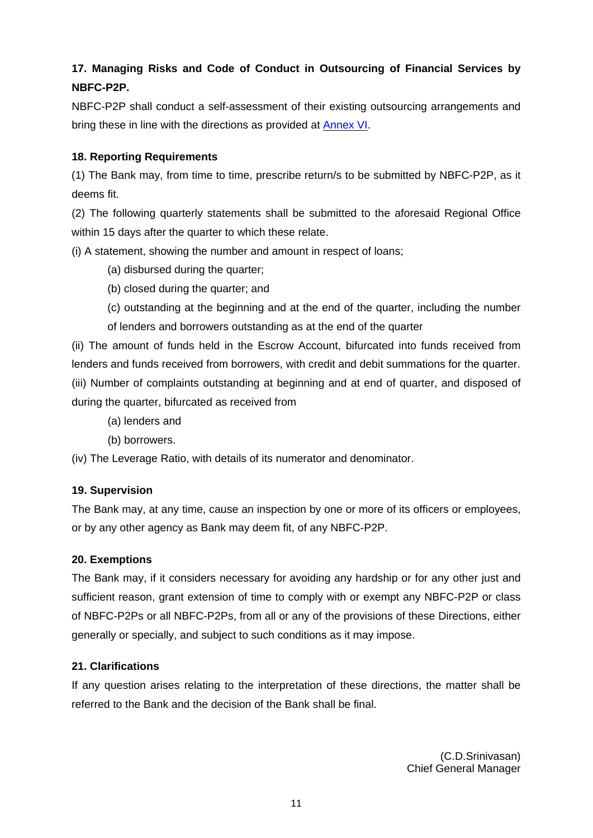## **17. Managing Risks and Code of Conduct in Outsourcing of Financial Services by NBFC-P2P.**

NBFC-P2P shall conduct a self-assessment of their existing outsourcing arrangements and bring these in line with the directions as provided at **[Annex](#page-22-0) VI**.

## **18. Reporting Requirements**

(1) The Bank may, from time to time, prescribe return/s to be submitted by NBFC-P2P, as it deems fit.

(2) The following quarterly statements shall be submitted to the aforesaid Regional Office within 15 days after the quarter to which these relate.

(i) A statement, showing the number and amount in respect of loans;

- (a) disbursed during the quarter;
- (b) closed during the quarter; and
- (c) outstanding at the beginning and at the end of the quarter, including the number of lenders and borrowers outstanding as at the end of the quarter

(ii) The amount of funds held in the Escrow Account, bifurcated into funds received from lenders and funds received from borrowers, with credit and debit summations for the quarter. (iii) Number of complaints outstanding at beginning and at end of quarter, and disposed of during the quarter, bifurcated as received from

- (a) lenders and
- (b) borrowers.

(iv) The Leverage Ratio, with details of its numerator and denominator.

## **19. Supervision**

The Bank may, at any time, cause an inspection by one or more of its officers or employees, or by any other agency as Bank may deem fit, of any NBFC-P2P.

## **20. Exemptions**

The Bank may, if it considers necessary for avoiding any hardship or for any other just and sufficient reason, grant extension of time to comply with or exempt any NBFC-P2P or class of NBFC-P2Ps or all NBFC-P2Ps, from all or any of the provisions of these Directions, either generally or specially, and subject to such conditions as it may impose.

## **21. Clarifications**

If any question arises relating to the interpretation of these directions, the matter shall be referred to the Bank and the decision of the Bank shall be final.

> (C.D.Srinivasan) Chief General Manager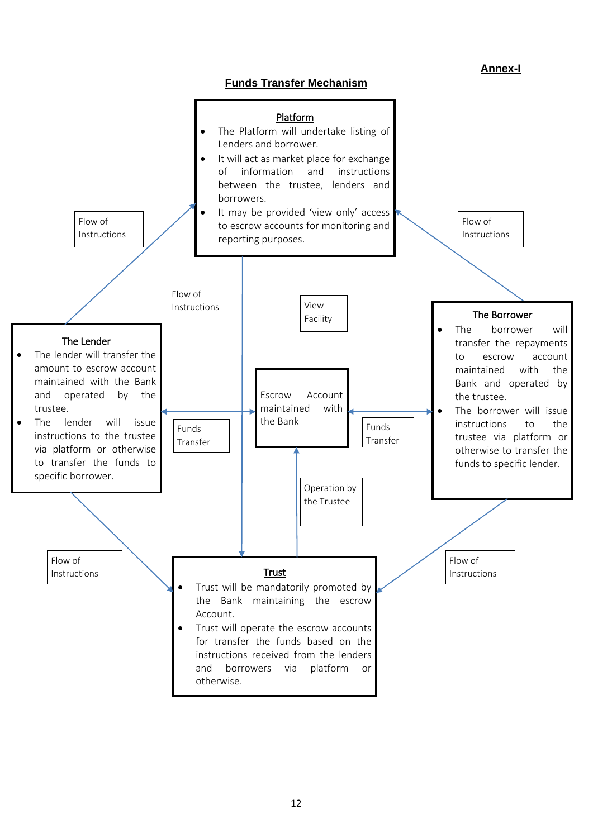## **Annex-I**



<span id="page-11-0"></span>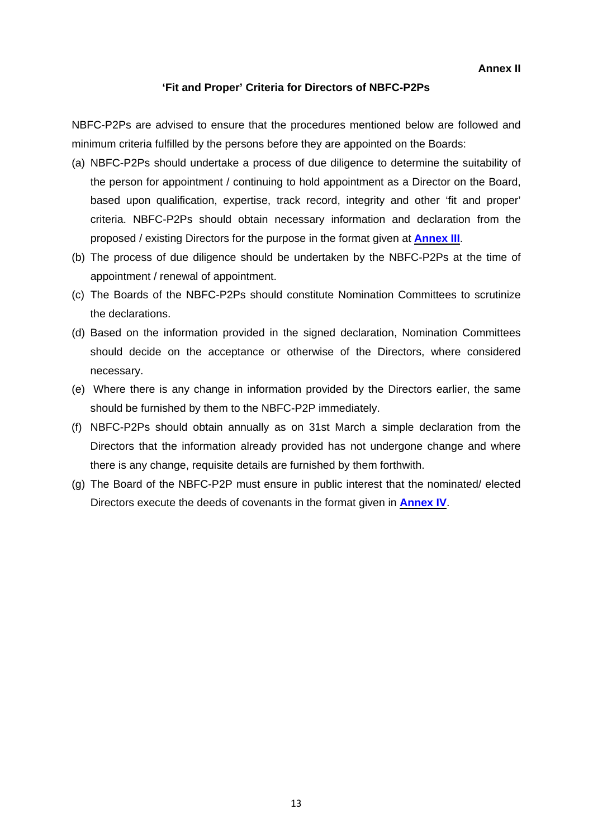**Annex II**

## **'Fit and Proper' Criteria for Directors of NBFC-P2Ps**

<span id="page-12-0"></span>NBFC-P2Ps are advised to ensure that the procedures mentioned below are followed and minimum criteria fulfilled by the persons before they are appointed on the Boards:

- (a) NBFC-P2Ps should undertake a process of due diligence to determine the suitability of the person for appointment / continuing to hold appointment as a Director on the Board, based upon qualification, expertise, track record, integrity and other 'fit and proper' criteria. NBFC-P2Ps should obtain necessary information and declaration from the proposed / existing Directors for the purpose in the format given at **[Annex](#page-13-0) III**.
- (b) The process of due diligence should be undertaken by the NBFC-P2Ps at the time of appointment / renewal of appointment.
- (c) The Boards of the NBFC-P2Ps should constitute Nomination Committees to scrutinize the declarations.
- (d) Based on the information provided in the signed declaration, Nomination Committees should decide on the acceptance or otherwise of the Directors, where considered necessary.
- (e) Where there is any change in information provided by the Directors earlier, the same should be furnished by them to the NBFC-P2P immediately.
- (f) NBFC-P2Ps should obtain annually as on 31st March a simple declaration from the Directors that the information already provided has not undergone change and where there is any change, requisite details are furnished by them forthwith.
- (g) The Board of the NBFC-P2P must ensure in public interest that the nominated/ elected Directors execute the deeds of covenants in the format given in **[Annex](#page-16-0) IV**.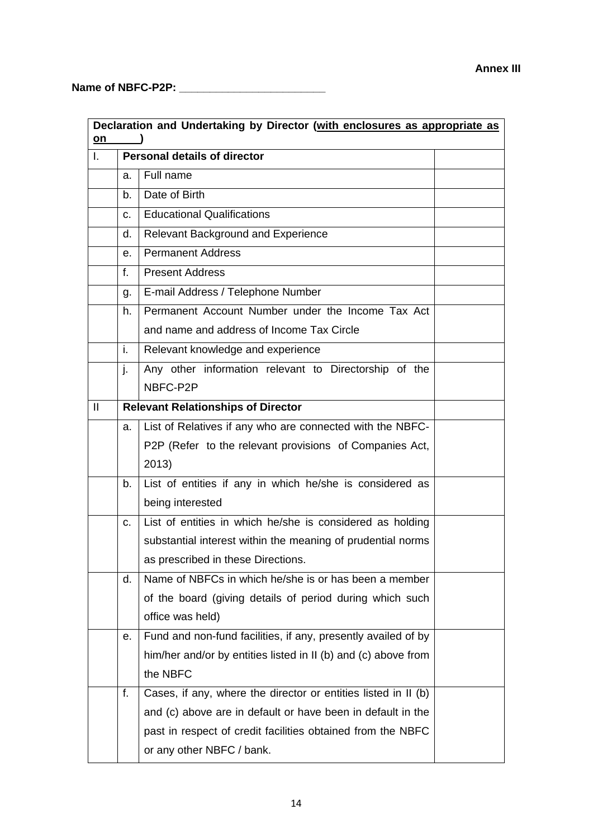<span id="page-13-0"></span>**Name of NBFC-P2P: \_\_\_\_\_\_\_\_\_\_\_\_\_\_\_\_\_\_\_\_\_\_\_\_**

| Declaration and Undertaking by Director (with enclosures as appropriate as<br>on |                                     |                                                                |  |  |
|----------------------------------------------------------------------------------|-------------------------------------|----------------------------------------------------------------|--|--|
| I.                                                                               | <b>Personal details of director</b> |                                                                |  |  |
|                                                                                  | a.                                  | Full name                                                      |  |  |
|                                                                                  | b.                                  | Date of Birth                                                  |  |  |
|                                                                                  | C.                                  | <b>Educational Qualifications</b>                              |  |  |
|                                                                                  | d.                                  | <b>Relevant Background and Experience</b>                      |  |  |
|                                                                                  | е.                                  | <b>Permanent Address</b>                                       |  |  |
|                                                                                  | f.                                  | <b>Present Address</b>                                         |  |  |
|                                                                                  | g.                                  | E-mail Address / Telephone Number                              |  |  |
|                                                                                  | h.                                  | Permanent Account Number under the Income Tax Act              |  |  |
|                                                                                  |                                     | and name and address of Income Tax Circle                      |  |  |
|                                                                                  | i.                                  | Relevant knowledge and experience                              |  |  |
|                                                                                  | j.                                  | Any other information relevant to Directorship of the          |  |  |
|                                                                                  |                                     | NBFC-P2P                                                       |  |  |
| $\mathbf{I}$                                                                     |                                     | <b>Relevant Relationships of Director</b>                      |  |  |
|                                                                                  | a.                                  | List of Relatives if any who are connected with the NBFC-      |  |  |
|                                                                                  |                                     | P2P (Refer to the relevant provisions of Companies Act,        |  |  |
|                                                                                  |                                     | 2013)                                                          |  |  |
|                                                                                  | b.                                  | List of entities if any in which he/she is considered as       |  |  |
|                                                                                  |                                     | being interested                                               |  |  |
|                                                                                  | C.                                  | List of entities in which he/she is considered as holding      |  |  |
|                                                                                  |                                     | substantial interest within the meaning of prudential norms    |  |  |
|                                                                                  |                                     | as prescribed in these Directions.                             |  |  |
|                                                                                  | d.                                  | Name of NBFCs in which he/she is or has been a member          |  |  |
|                                                                                  |                                     | of the board (giving details of period during which such       |  |  |
|                                                                                  |                                     | office was held)                                               |  |  |
|                                                                                  | е.                                  | Fund and non-fund facilities, if any, presently availed of by  |  |  |
|                                                                                  |                                     | him/her and/or by entities listed in II (b) and (c) above from |  |  |
|                                                                                  |                                     | the NBFC                                                       |  |  |
|                                                                                  | f.                                  | Cases, if any, where the director or entities listed in II (b) |  |  |
|                                                                                  |                                     | and (c) above are in default or have been in default in the    |  |  |
|                                                                                  |                                     | past in respect of credit facilities obtained from the NBFC    |  |  |
|                                                                                  |                                     | or any other NBFC / bank.                                      |  |  |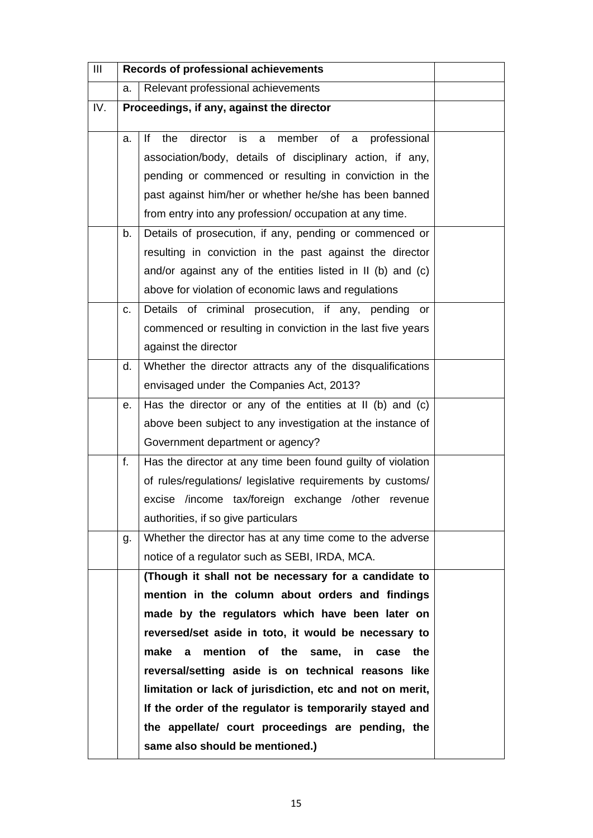| Ш   | Records of professional achievements |                                                                                                                  |  |  |
|-----|--------------------------------------|------------------------------------------------------------------------------------------------------------------|--|--|
|     | a.                                   | Relevant professional achievements                                                                               |  |  |
| IV. |                                      | Proceedings, if any, against the director                                                                        |  |  |
|     | a.                                   | director is<br>member of<br>the<br>lf.<br>professional<br>$\mathbf{a}$<br>a a                                    |  |  |
|     |                                      | association/body, details of disciplinary action, if any,                                                        |  |  |
|     |                                      | pending or commenced or resulting in conviction in the                                                           |  |  |
|     |                                      | past against him/her or whether he/she has been banned                                                           |  |  |
|     |                                      | from entry into any profession/occupation at any time.                                                           |  |  |
|     | b.                                   | Details of prosecution, if any, pending or commenced or                                                          |  |  |
|     |                                      | resulting in conviction in the past against the director                                                         |  |  |
|     |                                      | and/or against any of the entities listed in II (b) and (c)                                                      |  |  |
|     |                                      | above for violation of economic laws and regulations                                                             |  |  |
|     | C.                                   | Details of criminal prosecution, if any, pending or                                                              |  |  |
|     |                                      | commenced or resulting in conviction in the last five years                                                      |  |  |
|     |                                      | against the director                                                                                             |  |  |
|     | d.                                   | Whether the director attracts any of the disqualifications                                                       |  |  |
|     |                                      | envisaged under the Companies Act, 2013?                                                                         |  |  |
|     | е.                                   | Has the director or any of the entities at II (b) and (c)                                                        |  |  |
|     |                                      | above been subject to any investigation at the instance of                                                       |  |  |
|     |                                      | Government department or agency?                                                                                 |  |  |
|     | f.                                   | Has the director at any time been found guilty of violation                                                      |  |  |
|     |                                      | of rules/regulations/ legislative requirements by customs/                                                       |  |  |
|     |                                      | excise /income tax/foreign exchange /other revenue                                                               |  |  |
|     |                                      | authorities, if so give particulars                                                                              |  |  |
|     | g.                                   | Whether the director has at any time come to the adverse                                                         |  |  |
|     |                                      | notice of a regulator such as SEBI, IRDA, MCA.                                                                   |  |  |
|     |                                      | (Though it shall not be necessary for a candidate to                                                             |  |  |
|     |                                      | mention in the column about orders and findings                                                                  |  |  |
|     |                                      | made by the regulators which have been later on                                                                  |  |  |
|     |                                      | reversed/set aside in toto, it would be necessary to                                                             |  |  |
|     |                                      | mention of the same, in<br>make a<br>case<br>the                                                                 |  |  |
|     |                                      | reversal/setting aside is on technical reasons like<br>limitation or lack of jurisdiction, etc and not on merit, |  |  |
|     |                                      | If the order of the regulator is temporarily stayed and                                                          |  |  |
|     |                                      | the appellate/ court proceedings are pending, the                                                                |  |  |
|     |                                      | same also should be mentioned.)                                                                                  |  |  |
|     |                                      |                                                                                                                  |  |  |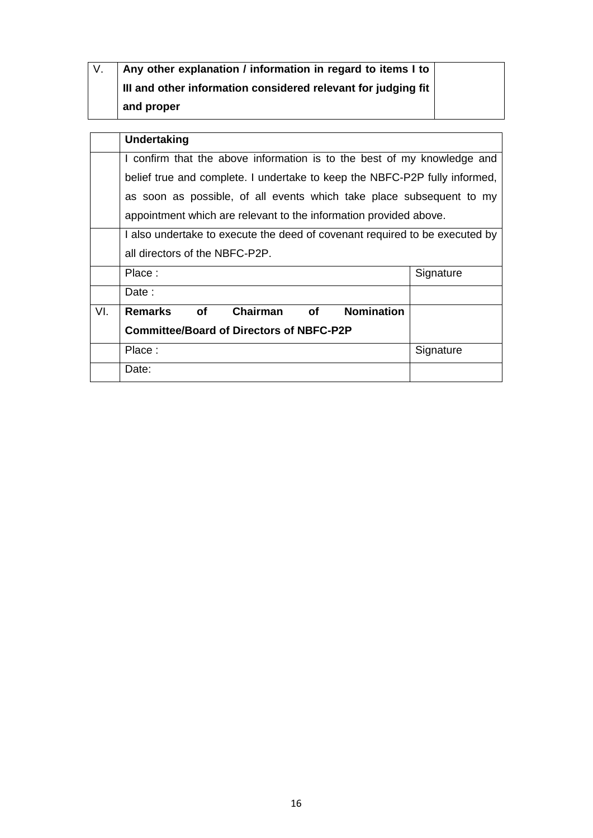| $\overline{V}$ . | Any other explanation / information in regard to items I to                      |           |  |  |  |
|------------------|----------------------------------------------------------------------------------|-----------|--|--|--|
|                  | III and other information considered relevant for judging fit                    |           |  |  |  |
|                  | and proper                                                                       |           |  |  |  |
|                  |                                                                                  |           |  |  |  |
|                  | <b>Undertaking</b>                                                               |           |  |  |  |
|                  | I confirm that the above information is to the best of my knowledge and          |           |  |  |  |
|                  | belief true and complete. I undertake to keep the NBFC-P2P fully informed,       |           |  |  |  |
|                  | as soon as possible, of all events which take place subsequent to my             |           |  |  |  |
|                  | appointment which are relevant to the information provided above.                |           |  |  |  |
|                  | I also undertake to execute the deed of covenant required to be executed by      |           |  |  |  |
|                  | all directors of the NBFC-P2P.                                                   |           |  |  |  |
|                  | Place:                                                                           | Signature |  |  |  |
|                  | Date:                                                                            |           |  |  |  |
| VI.              | <b>Nomination</b><br><b>Chairman</b><br><b>Remarks</b><br><b>of</b><br><b>of</b> |           |  |  |  |
|                  | <b>Committee/Board of Directors of NBFC-P2P</b>                                  |           |  |  |  |
|                  | Place:                                                                           | Signature |  |  |  |
|                  | Date:                                                                            |           |  |  |  |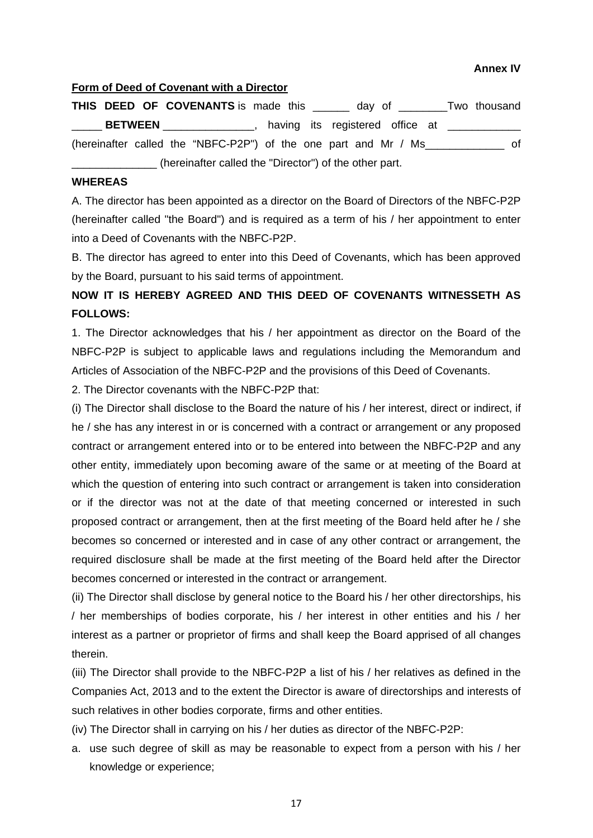#### **Annex IV**

#### <span id="page-16-0"></span>**Form of Deed of Covenant with a Director**

**THIS DEED OF COVENANTS** is made this and day of Two thousand BETWEEN \_\_\_\_\_\_\_\_\_\_, having its registered office at \_\_\_\_\_\_\_ (hereinafter called the "NBFC-P2P") of the one part and Mr / Ms\_\_\_\_\_\_\_\_\_\_\_\_\_ of (hereinafter called the "Director") of the other part.

## **WHEREAS**

A. The director has been appointed as a director on the Board of Directors of the NBFC-P2P (hereinafter called "the Board") and is required as a term of his / her appointment to enter into a Deed of Covenants with the NBFC-P2P.

B. The director has agreed to enter into this Deed of Covenants, which has been approved by the Board, pursuant to his said terms of appointment.

## **NOW IT IS HEREBY AGREED AND THIS DEED OF COVENANTS WITNESSETH AS FOLLOWS:**

1. The Director acknowledges that his / her appointment as director on the Board of the NBFC-P2P is subject to applicable laws and regulations including the Memorandum and Articles of Association of the NBFC-P2P and the provisions of this Deed of Covenants.

2. The Director covenants with the NBFC-P2P that:

(i) The Director shall disclose to the Board the nature of his / her interest, direct or indirect, if he / she has any interest in or is concerned with a contract or arrangement or any proposed contract or arrangement entered into or to be entered into between the NBFC-P2P and any other entity, immediately upon becoming aware of the same or at meeting of the Board at which the question of entering into such contract or arrangement is taken into consideration or if the director was not at the date of that meeting concerned or interested in such proposed contract or arrangement, then at the first meeting of the Board held after he / she becomes so concerned or interested and in case of any other contract or arrangement, the required disclosure shall be made at the first meeting of the Board held after the Director becomes concerned or interested in the contract or arrangement.

(ii) The Director shall disclose by general notice to the Board his / her other directorships, his / her memberships of bodies corporate, his / her interest in other entities and his / her interest as a partner or proprietor of firms and shall keep the Board apprised of all changes therein.

(iii) The Director shall provide to the NBFC-P2P a list of his / her relatives as defined in the Companies Act, 2013 and to the extent the Director is aware of directorships and interests of such relatives in other bodies corporate, firms and other entities.

(iv) The Director shall in carrying on his / her duties as director of the NBFC-P2P:

a. use such degree of skill as may be reasonable to expect from a person with his / her knowledge or experience;

17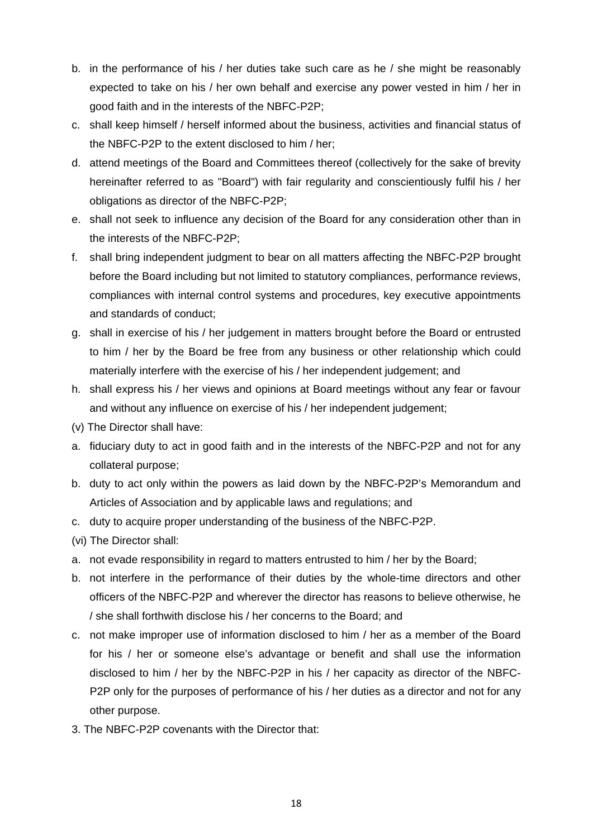- b. in the performance of his / her duties take such care as he / she might be reasonably expected to take on his / her own behalf and exercise any power vested in him / her in good faith and in the interests of the NBFC-P2P;
- c. shall keep himself / herself informed about the business, activities and financial status of the NBFC-P2P to the extent disclosed to him / her;
- d. attend meetings of the Board and Committees thereof (collectively for the sake of brevity hereinafter referred to as "Board") with fair regularity and conscientiously fulfil his / her obligations as director of the NBFC-P2P;
- e. shall not seek to influence any decision of the Board for any consideration other than in the interests of the NBFC-P2P;
- f. shall bring independent judgment to bear on all matters affecting the NBFC-P2P brought before the Board including but not limited to statutory compliances, performance reviews, compliances with internal control systems and procedures, key executive appointments and standards of conduct;
- g. shall in exercise of his / her judgement in matters brought before the Board or entrusted to him / her by the Board be free from any business or other relationship which could materially interfere with the exercise of his / her independent judgement; and
- h. shall express his / her views and opinions at Board meetings without any fear or favour and without any influence on exercise of his / her independent judgement;
- (v) The Director shall have:
- a. fiduciary duty to act in good faith and in the interests of the NBFC-P2P and not for any collateral purpose;
- b. duty to act only within the powers as laid down by the NBFC-P2P's Memorandum and Articles of Association and by applicable laws and regulations; and
- c. duty to acquire proper understanding of the business of the NBFC-P2P.
- (vi) The Director shall:
- a. not evade responsibility in regard to matters entrusted to him / her by the Board;
- b. not interfere in the performance of their duties by the whole-time directors and other officers of the NBFC-P2P and wherever the director has reasons to believe otherwise, he / she shall forthwith disclose his / her concerns to the Board; and
- c. not make improper use of information disclosed to him / her as a member of the Board for his / her or someone else's advantage or benefit and shall use the information disclosed to him / her by the NBFC-P2P in his / her capacity as director of the NBFC-P2P only for the purposes of performance of his / her duties as a director and not for any other purpose.
- 3. The NBFC-P2P covenants with the Director that: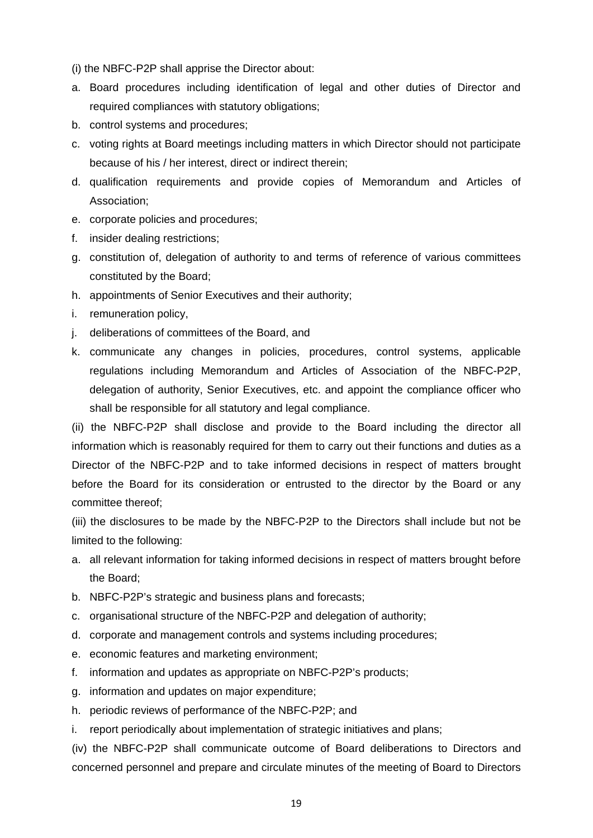(i) the NBFC-P2P shall apprise the Director about:

- a. Board procedures including identification of legal and other duties of Director and required compliances with statutory obligations;
- b. control systems and procedures;
- c. voting rights at Board meetings including matters in which Director should not participate because of his / her interest, direct or indirect therein;
- d. qualification requirements and provide copies of Memorandum and Articles of Association;
- e. corporate policies and procedures;
- f. insider dealing restrictions;
- g. constitution of, delegation of authority to and terms of reference of various committees constituted by the Board;
- h. appointments of Senior Executives and their authority;
- i. remuneration policy,
- j. deliberations of committees of the Board, and
- k. communicate any changes in policies, procedures, control systems, applicable regulations including Memorandum and Articles of Association of the NBFC-P2P, delegation of authority, Senior Executives, etc. and appoint the compliance officer who shall be responsible for all statutory and legal compliance.

(ii) the NBFC-P2P shall disclose and provide to the Board including the director all information which is reasonably required for them to carry out their functions and duties as a Director of the NBFC-P2P and to take informed decisions in respect of matters brought before the Board for its consideration or entrusted to the director by the Board or any committee thereof;

(iii) the disclosures to be made by the NBFC-P2P to the Directors shall include but not be limited to the following:

- a. all relevant information for taking informed decisions in respect of matters brought before the Board;
- b. NBFC-P2P's strategic and business plans and forecasts;
- c. organisational structure of the NBFC-P2P and delegation of authority;
- d. corporate and management controls and systems including procedures;
- e. economic features and marketing environment;
- f. information and updates as appropriate on NBFC-P2P's products;
- g. information and updates on major expenditure;
- h. periodic reviews of performance of the NBFC-P2P; and
- i. report periodically about implementation of strategic initiatives and plans;

(iv) the NBFC-P2P shall communicate outcome of Board deliberations to Directors and concerned personnel and prepare and circulate minutes of the meeting of Board to Directors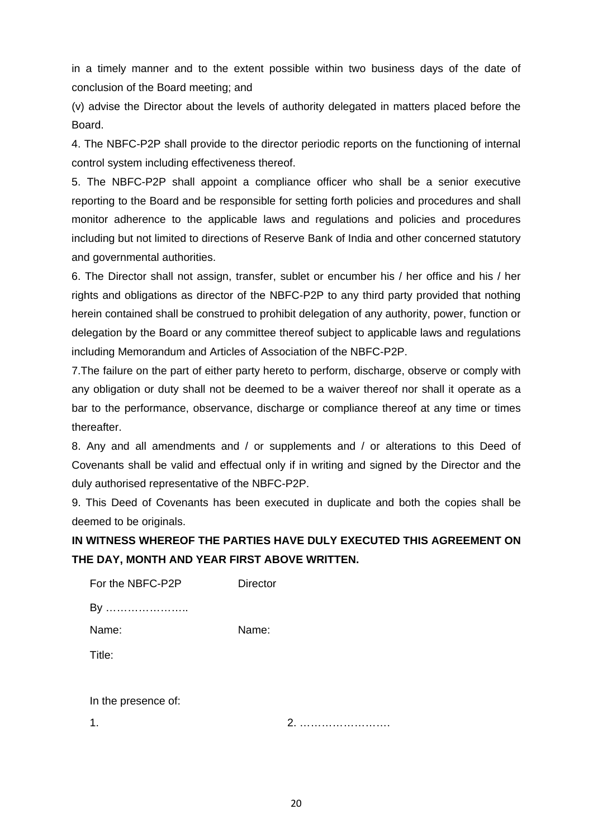in a timely manner and to the extent possible within two business days of the date of conclusion of the Board meeting; and

(v) advise the Director about the levels of authority delegated in matters placed before the Board.

4. The NBFC-P2P shall provide to the director periodic reports on the functioning of internal control system including effectiveness thereof.

5. The NBFC-P2P shall appoint a compliance officer who shall be a senior executive reporting to the Board and be responsible for setting forth policies and procedures and shall monitor adherence to the applicable laws and regulations and policies and procedures including but not limited to directions of Reserve Bank of India and other concerned statutory and governmental authorities.

6. The Director shall not assign, transfer, sublet or encumber his / her office and his / her rights and obligations as director of the NBFC-P2P to any third party provided that nothing herein contained shall be construed to prohibit delegation of any authority, power, function or delegation by the Board or any committee thereof subject to applicable laws and regulations including Memorandum and Articles of Association of the NBFC-P2P.

7.The failure on the part of either party hereto to perform, discharge, observe or comply with any obligation or duty shall not be deemed to be a waiver thereof nor shall it operate as a bar to the performance, observance, discharge or compliance thereof at any time or times thereafter.

8. Any and all amendments and / or supplements and / or alterations to this Deed of Covenants shall be valid and effectual only if in writing and signed by the Director and the duly authorised representative of the NBFC-P2P.

9. This Deed of Covenants has been executed in duplicate and both the copies shall be deemed to be originals.

## **IN WITNESS WHEREOF THE PARTIES HAVE DULY EXECUTED THIS AGREEMENT ON THE DAY, MONTH AND YEAR FIRST ABOVE WRITTEN.**

| For the NBFC-P2P    | <b>Director</b> |
|---------------------|-----------------|
| By                  |                 |
| Name:               | Name:           |
| Title:              |                 |
|                     |                 |
| In the presence of: |                 |
|                     | 2               |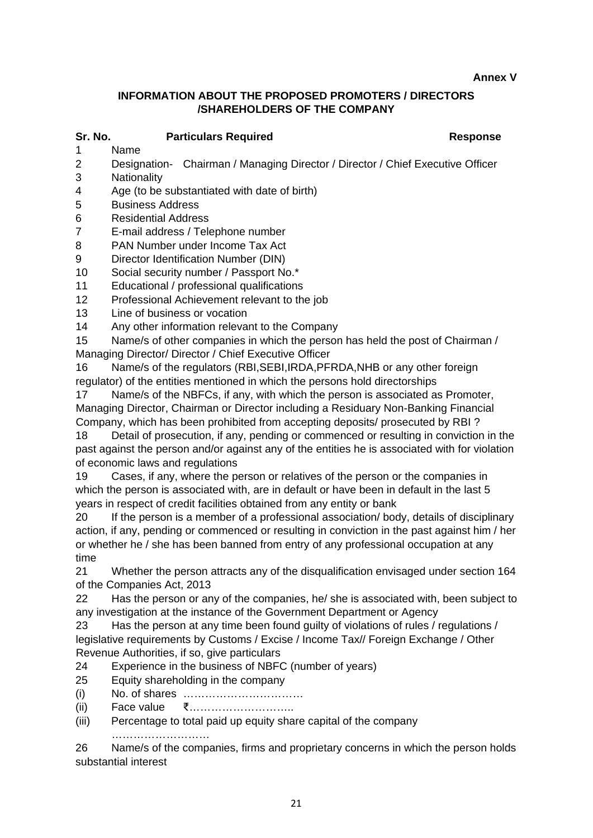<span id="page-20-0"></span>**Annex V**

## **INFORMATION ABOUT THE PROPOSED PROMOTERS / DIRECTORS /SHAREHOLDERS OF THE COMPANY**

# **Sr. No. Particulars Required Response**

- Name
- 2 Designation- Chairman / Managing Director / Director / Chief Executive Officer
- 3 Nationality
- 4 Age (to be substantiated with date of birth)
- 5 Business Address
- 6 Residential Address
- 7 E-mail address / Telephone number
- 8 PAN Number under Income Tax Act
- 9 Director Identification Number (DIN)
- 10 Social security number / Passport No.\*
- 11 Educational / professional qualifications
- 12 Professional Achievement relevant to the job
- 13 Line of business or vocation
- 14 Any other information relevant to the Company

15 Name/s of other companies in which the person has held the post of Chairman / Managing Director/ Director / Chief Executive Officer

16 Name/s of the regulators (RBI,SEBI,IRDA,PFRDA,NHB or any other foreign regulator) of the entities mentioned in which the persons hold directorships

17 Name/s of the NBFCs, if any, with which the person is associated as Promoter, Managing Director, Chairman or Director including a Residuary Non-Banking Financial Company, which has been prohibited from accepting deposits/ prosecuted by RBI ?

18 Detail of prosecution, if any, pending or commenced or resulting in conviction in the past against the person and/or against any of the entities he is associated with for violation of economic laws and regulations

19 Cases, if any, where the person or relatives of the person or the companies in which the person is associated with, are in default or have been in default in the last 5 years in respect of credit facilities obtained from any entity or bank

20 If the person is a member of a professional association/ body, details of disciplinary action, if any, pending or commenced or resulting in conviction in the past against him / her or whether he / she has been banned from entry of any professional occupation at any time

21 Whether the person attracts any of the disqualification envisaged under section 164 of the Companies Act, 2013

22 Has the person or any of the companies, he/ she is associated with, been subject to any investigation at the instance of the Government Department or Agency

23 Has the person at any time been found guilty of violations of rules / regulations / legislative requirements by Customs / Excise / Income Tax// Foreign Exchange / Other Revenue Authorities, if so, give particulars

- 24 Experience in the business of NBFC (number of years)
- 25 Equity shareholding in the company
- (i) No. of shares ……………………………
- (ii) Face value ₹………………………..
- (iii) Percentage to total paid up equity share capital of the company

………………………

26 Name/s of the companies, firms and proprietary concerns in which the person holds substantial interest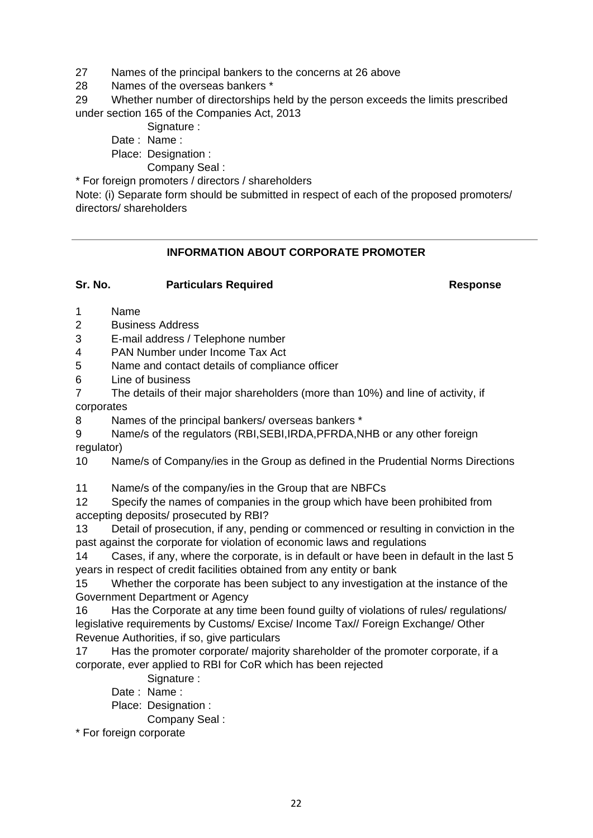27 Names of the principal bankers to the concerns at 26 above

28 Names of the overseas bankers \*

29 Whether number of directorships held by the person exceeds the limits prescribed under section 165 of the Companies Act, 2013

Signature :

Date : Name :

Place: Designation :

Company Seal :

\* For foreign promoters / directors / shareholders

Note: (i) Separate form should be submitted in respect of each of the proposed promoters/ directors/ shareholders

## **INFORMATION ABOUT CORPORATE PROMOTER**

## **Sr. No. Particulars Required Response**

1 Name

2 Business Address

3 E-mail address / Telephone number

4 PAN Number under Income Tax Act

5 Name and contact details of compliance officer

6 Line of business

7 The details of their major shareholders (more than 10%) and line of activity, if corporates

8 Names of the principal bankers/ overseas bankers \*

9 Name/s of the regulators (RBI,SEBI,IRDA,PFRDA,NHB or any other foreign regulator)

10 Name/s of Company/ies in the Group as defined in the Prudential Norms Directions

11 Name/s of the company/ies in the Group that are NBFCs

12 Specify the names of companies in the group which have been prohibited from accepting deposits/ prosecuted by RBI?

13 Detail of prosecution, if any, pending or commenced or resulting in conviction in the past against the corporate for violation of economic laws and regulations

14 Cases, if any, where the corporate, is in default or have been in default in the last 5 years in respect of credit facilities obtained from any entity or bank

15 Whether the corporate has been subject to any investigation at the instance of the Government Department or Agency

16 Has the Corporate at any time been found guilty of violations of rules/ regulations/ legislative requirements by Customs/ Excise/ Income Tax// Foreign Exchange/ Other Revenue Authorities, if so, give particulars

17 Has the promoter corporate/ majority shareholder of the promoter corporate, if a corporate, ever applied to RBI for CoR which has been rejected

Signature :

Date : Name : Place: Designation :

Company Seal :

\* For foreign corporate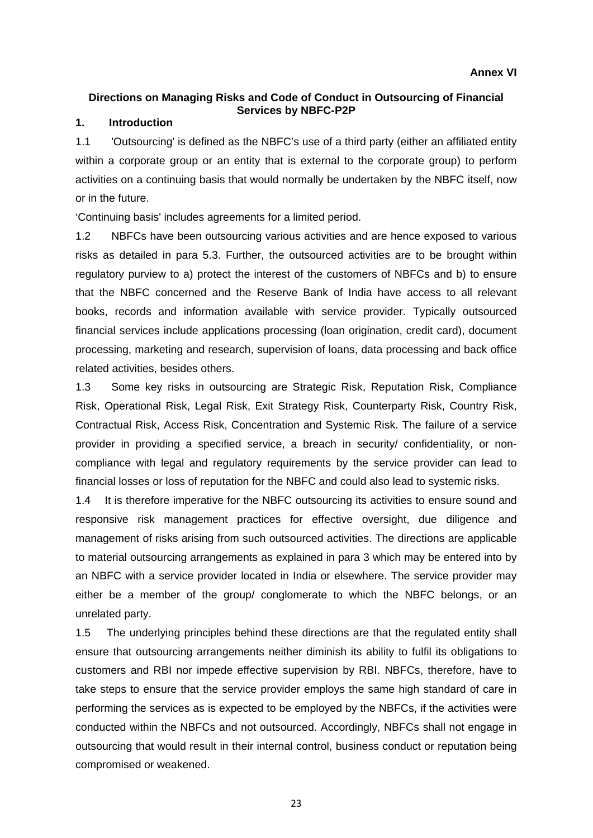## <span id="page-22-0"></span>**Directions on Managing Risks and Code of Conduct in Outsourcing of Financial Services by NBFC-P2P**

## **1. Introduction**

1.1 'Outsourcing' is defined as the NBFC's use of a third party (either an affiliated entity within a corporate group or an entity that is external to the corporate group) to perform activities on a continuing basis that would normally be undertaken by the NBFC itself, now or in the future.

'Continuing basis' includes agreements for a limited period.

1.2 NBFCs have been outsourcing various activities and are hence exposed to various risks as detailed in para 5.3. Further, the outsourced activities are to be brought within regulatory purview to a) protect the interest of the customers of NBFCs and b) to ensure that the NBFC concerned and the Reserve Bank of India have access to all relevant books, records and information available with service provider. Typically outsourced financial services include applications processing (loan origination, credit card), document processing, marketing and research, supervision of loans, data processing and back office related activities, besides others.

1.3 Some key risks in outsourcing are Strategic Risk, Reputation Risk, Compliance Risk, Operational Risk, Legal Risk, Exit Strategy Risk, Counterparty Risk, Country Risk, Contractual Risk, Access Risk, Concentration and Systemic Risk. The failure of a service provider in providing a specified service, a breach in security/ confidentiality, or noncompliance with legal and regulatory requirements by the service provider can lead to financial losses or loss of reputation for the NBFC and could also lead to systemic risks.

1.4 It is therefore imperative for the NBFC outsourcing its activities to ensure sound and responsive risk management practices for effective oversight, due diligence and management of risks arising from such outsourced activities. The directions are applicable to material outsourcing arrangements as explained in para 3 which may be entered into by an NBFC with a service provider located in India or elsewhere. The service provider may either be a member of the group/ conglomerate to which the NBFC belongs, or an unrelated party.

1.5 The underlying principles behind these directions are that the regulated entity shall ensure that outsourcing arrangements neither diminish its ability to fulfil its obligations to customers and RBI nor impede effective supervision by RBI. NBFCs, therefore, have to take steps to ensure that the service provider employs the same high standard of care in performing the services as is expected to be employed by the NBFCs, if the activities were conducted within the NBFCs and not outsourced. Accordingly, NBFCs shall not engage in outsourcing that would result in their internal control, business conduct or reputation being compromised or weakened.

23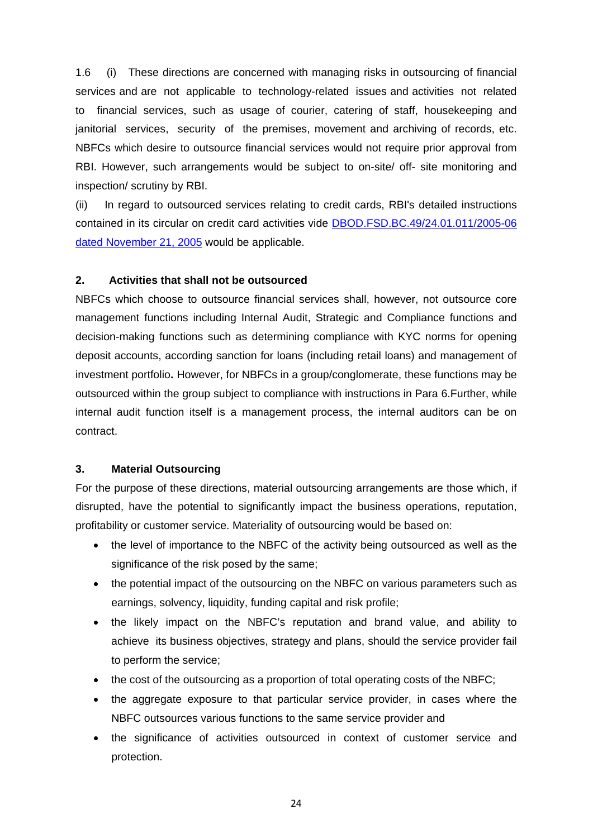1.6 (i) These directions are concerned with managing risks in outsourcing of financial services and are not applicable to technology-related issues and activities not related to financial services, such as usage of courier, catering of staff, housekeeping and janitorial services, security of the premises, movement and archiving of records, etc. NBFCs which desire to outsource financial services would not require prior approval from RBI. However, such arrangements would be subject to on-site/ off- site monitoring and inspection/ scrutiny by RBI.

(ii) In regard to outsourced services relating to credit cards, RBI's detailed instructions contained in its circular on credit card activities vide [DBOD.FSD.BC.49/24.01.011/2005-06](https://www.rbi.org.in/Scripts/NotificationUser.aspx?Id=2627&Mode=0)  [dated November 21, 2005](https://www.rbi.org.in/Scripts/NotificationUser.aspx?Id=2627&Mode=0) would be applicable.

## **2. Activities that shall not be outsourced**

NBFCs which choose to outsource financial services shall, however, not outsource core management functions including Internal Audit, Strategic and Compliance functions and decision-making functions such as determining compliance with KYC norms for opening deposit accounts, according sanction for loans (including retail loans) and management of investment portfolio**.** However, for NBFCs in a group/conglomerate, these functions may be outsourced within the group subject to compliance with instructions in Para 6.Further, while internal audit function itself is a management process, the internal auditors can be on contract.

## **3. Material Outsourcing**

For the purpose of these directions, material outsourcing arrangements are those which, if disrupted, have the potential to significantly impact the business operations, reputation, profitability or customer service. Materiality of outsourcing would be based on:

- the level of importance to the NBFC of the activity being outsourced as well as the significance of the risk posed by the same;
- the potential impact of the outsourcing on the NBFC on various parameters such as earnings, solvency, liquidity, funding capital and risk profile;
- the likely impact on the NBFC's reputation and brand value, and ability to achieve its business objectives, strategy and plans, should the service provider fail to perform the service;
- the cost of the outsourcing as a proportion of total operating costs of the NBFC;
- the aggregate exposure to that particular service provider, in cases where the NBFC outsources various functions to the same service provider and
- the significance of activities outsourced in context of customer service and protection.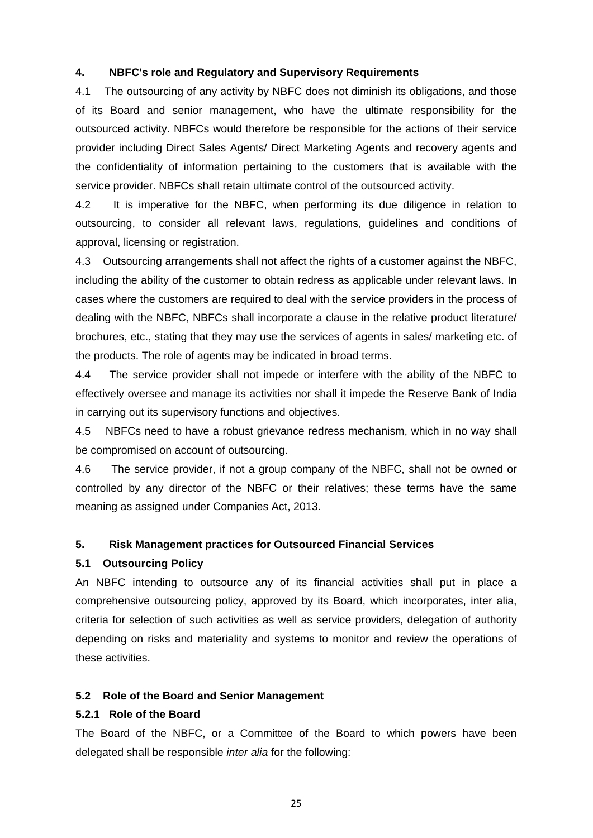## **4. NBFC's role and Regulatory and Supervisory Requirements**

4.1 The outsourcing of any activity by NBFC does not diminish its obligations, and those of its Board and senior management, who have the ultimate responsibility for the outsourced activity. NBFCs would therefore be responsible for the actions of their service provider including Direct Sales Agents/ Direct Marketing Agents and recovery agents and the confidentiality of information pertaining to the customers that is available with the service provider. NBFCs shall retain ultimate control of the outsourced activity.

4.2 It is imperative for the NBFC, when performing its due diligence in relation to outsourcing, to consider all relevant laws, regulations, guidelines and conditions of approval, licensing or registration.

4.3 Outsourcing arrangements shall not affect the rights of a customer against the NBFC, including the ability of the customer to obtain redress as applicable under relevant laws. In cases where the customers are required to deal with the service providers in the process of dealing with the NBFC, NBFCs shall incorporate a clause in the relative product literature/ brochures, etc., stating that they may use the services of agents in sales/ marketing etc. of the products. The role of agents may be indicated in broad terms.

4.4 The service provider shall not impede or interfere with the ability of the NBFC to effectively oversee and manage its activities nor shall it impede the Reserve Bank of India in carrying out its supervisory functions and objectives.

4.5 NBFCs need to have a robust grievance redress mechanism, which in no way shall be compromised on account of outsourcing.

4.6 The service provider, if not a group company of the NBFC, shall not be owned or controlled by any director of the NBFC or their relatives; these terms have the same meaning as assigned under Companies Act, 2013.

## **5. Risk Management practices for Outsourced Financial Services**

## **5.1 Outsourcing Policy**

An NBFC intending to outsource any of its financial activities shall put in place a comprehensive outsourcing policy, approved by its Board, which incorporates, inter alia, criteria for selection of such activities as well as service providers, delegation of authority depending on risks and materiality and systems to monitor and review the operations of these activities.

## **5.2 Role of the Board and Senior Management**

## **5.2.1 Role of the Board**

The Board of the NBFC, or a Committee of the Board to which powers have been delegated shall be responsible *inter alia* for the following: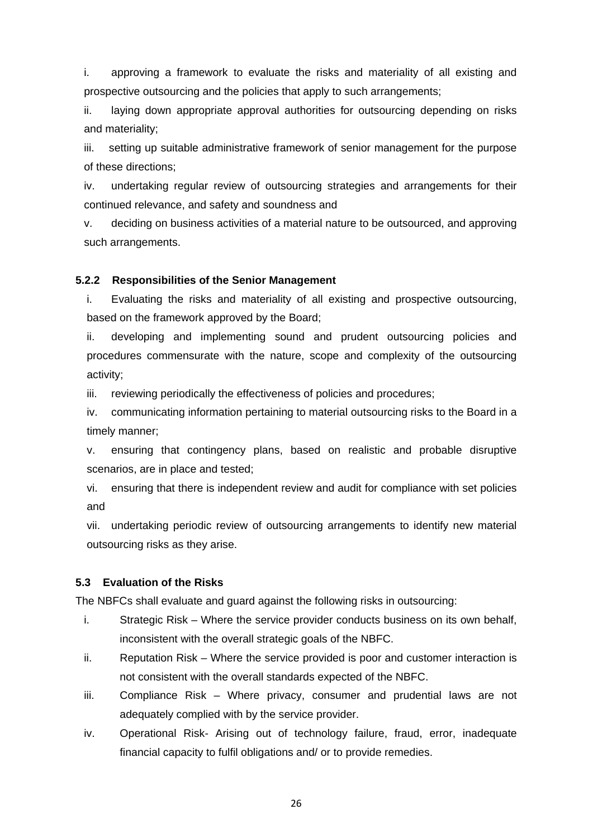i. approving a framework to evaluate the risks and materiality of all existing and prospective outsourcing and the policies that apply to such arrangements;

ii. laying down appropriate approval authorities for outsourcing depending on risks and materiality;

iii. setting up suitable administrative framework of senior management for the purpose of these directions;

iv. undertaking regular review of outsourcing strategies and arrangements for their continued relevance, and safety and soundness and

v. deciding on business activities of a material nature to be outsourced, and approving such arrangements.

## **5.2.2 Responsibilities of the Senior Management**

i. Evaluating the risks and materiality of all existing and prospective outsourcing, based on the framework approved by the Board;

ii. developing and implementing sound and prudent outsourcing policies and procedures commensurate with the nature, scope and complexity of the outsourcing activity;

iii. reviewing periodically the effectiveness of policies and procedures;

iv. communicating information pertaining to material outsourcing risks to the Board in a timely manner;

v. ensuring that contingency plans, based on realistic and probable disruptive scenarios, are in place and tested;

vi. ensuring that there is independent review and audit for compliance with set policies and

vii. undertaking periodic review of outsourcing arrangements to identify new material outsourcing risks as they arise.

## **5.3 Evaluation of the Risks**

The NBFCs shall evaluate and guard against the following risks in outsourcing:

- i. Strategic Risk Where the service provider conducts business on its own behalf, inconsistent with the overall strategic goals of the NBFC.
- ii. Reputation Risk Where the service provided is poor and customer interaction is not consistent with the overall standards expected of the NBFC.
- iii. Compliance Risk Where privacy, consumer and prudential laws are not adequately complied with by the service provider.
- iv. Operational Risk- Arising out of technology failure, fraud, error, inadequate financial capacity to fulfil obligations and/ or to provide remedies.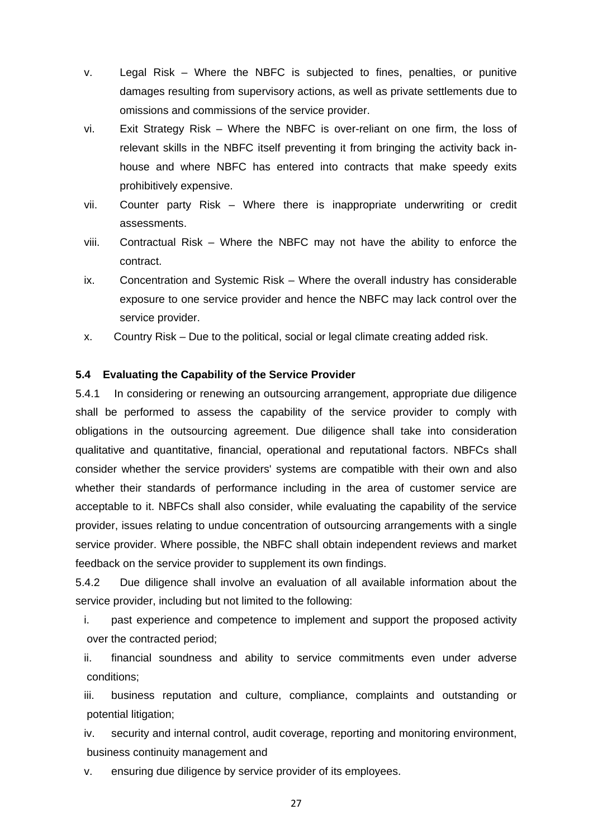- v. Legal Risk Where the NBFC is subjected to fines, penalties, or punitive damages resulting from supervisory actions, as well as private settlements due to omissions and commissions of the service provider.
- vi. Exit Strategy Risk Where the NBFC is over-reliant on one firm, the loss of relevant skills in the NBFC itself preventing it from bringing the activity back inhouse and where NBFC has entered into contracts that make speedy exits prohibitively expensive.
- vii. Counter party Risk Where there is inappropriate underwriting or credit assessments.
- viii. Contractual Risk Where the NBFC may not have the ability to enforce the contract.
- ix. Concentration and Systemic Risk Where the overall industry has considerable exposure to one service provider and hence the NBFC may lack control over the service provider.
- x. Country Risk Due to the political, social or legal climate creating added risk.

## **5.4 Evaluating the Capability of the Service Provider**

5.4.1 In considering or renewing an outsourcing arrangement, appropriate due diligence shall be performed to assess the capability of the service provider to comply with obligations in the outsourcing agreement. Due diligence shall take into consideration qualitative and quantitative, financial, operational and reputational factors. NBFCs shall consider whether the service providers' systems are compatible with their own and also whether their standards of performance including in the area of customer service are acceptable to it. NBFCs shall also consider, while evaluating the capability of the service provider, issues relating to undue concentration of outsourcing arrangements with a single service provider. Where possible, the NBFC shall obtain independent reviews and market feedback on the service provider to supplement its own findings.

5.4.2 Due diligence shall involve an evaluation of all available information about the service provider, including but not limited to the following:

i. past experience and competence to implement and support the proposed activity over the contracted period;

ii. financial soundness and ability to service commitments even under adverse conditions;

iii. business reputation and culture, compliance, complaints and outstanding or potential litigation;

iv. security and internal control, audit coverage, reporting and monitoring environment, business continuity management and

v. ensuring due diligence by service provider of its employees.

27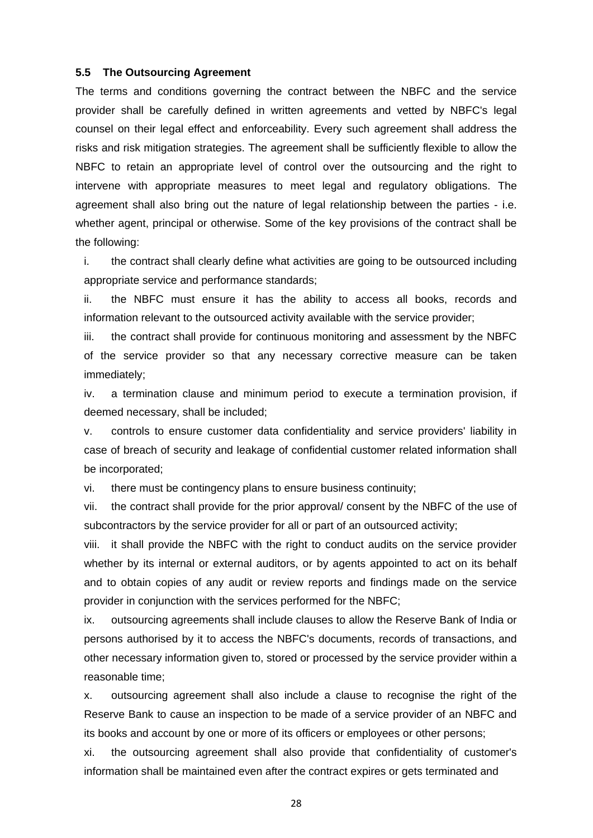#### **5.5 The Outsourcing Agreement**

The terms and conditions governing the contract between the NBFC and the service provider shall be carefully defined in written agreements and vetted by NBFC's legal counsel on their legal effect and enforceability. Every such agreement shall address the risks and risk mitigation strategies. The agreement shall be sufficiently flexible to allow the NBFC to retain an appropriate level of control over the outsourcing and the right to intervene with appropriate measures to meet legal and regulatory obligations. The agreement shall also bring out the nature of legal relationship between the parties - i.e. whether agent, principal or otherwise. Some of the key provisions of the contract shall be the following:

i. the contract shall clearly define what activities are going to be outsourced including appropriate service and performance standards;

ii. the NBFC must ensure it has the ability to access all books, records and information relevant to the outsourced activity available with the service provider;

iii. the contract shall provide for continuous monitoring and assessment by the NBFC of the service provider so that any necessary corrective measure can be taken immediately;

iv. a termination clause and minimum period to execute a termination provision, if deemed necessary, shall be included;

v. controls to ensure customer data confidentiality and service providers' liability in case of breach of security and leakage of confidential customer related information shall be incorporated;

vi. there must be contingency plans to ensure business continuity;

vii. the contract shall provide for the prior approval/ consent by the NBFC of the use of subcontractors by the service provider for all or part of an outsourced activity;

viii. it shall provide the NBFC with the right to conduct audits on the service provider whether by its internal or external auditors, or by agents appointed to act on its behalf and to obtain copies of any audit or review reports and findings made on the service provider in conjunction with the services performed for the NBFC;

ix. outsourcing agreements shall include clauses to allow the Reserve Bank of India or persons authorised by it to access the NBFC's documents, records of transactions, and other necessary information given to, stored or processed by the service provider within a reasonable time;

x. outsourcing agreement shall also include a clause to recognise the right of the Reserve Bank to cause an inspection to be made of a service provider of an NBFC and its books and account by one or more of its officers or employees or other persons;

xi. the outsourcing agreement shall also provide that confidentiality of customer's information shall be maintained even after the contract expires or gets terminated and

28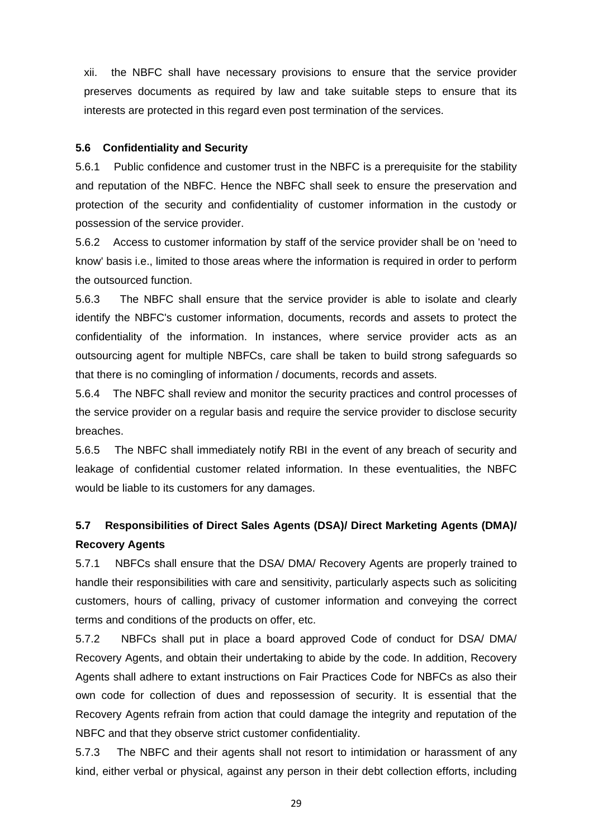xii. the NBFC shall have necessary provisions to ensure that the service provider preserves documents as required by law and take suitable steps to ensure that its interests are protected in this regard even post termination of the services.

## **5.6 Confidentiality and Security**

5.6.1 Public confidence and customer trust in the NBFC is a prerequisite for the stability and reputation of the NBFC. Hence the NBFC shall seek to ensure the preservation and protection of the security and confidentiality of customer information in the custody or possession of the service provider.

5.6.2 Access to customer information by staff of the service provider shall be on 'need to know' basis i.e., limited to those areas where the information is required in order to perform the outsourced function.

5.6.3 The NBFC shall ensure that the service provider is able to isolate and clearly identify the NBFC's customer information, documents, records and assets to protect the confidentiality of the information. In instances, where service provider acts as an outsourcing agent for multiple NBFCs, care shall be taken to build strong safeguards so that there is no comingling of information / documents, records and assets.

5.6.4 The NBFC shall review and monitor the security practices and control processes of the service provider on a regular basis and require the service provider to disclose security breaches.

5.6.5 The NBFC shall immediately notify RBI in the event of any breach of security and leakage of confidential customer related information. In these eventualities, the NBFC would be liable to its customers for any damages.

## **5.7 Responsibilities of Direct Sales Agents (DSA)/ Direct Marketing Agents (DMA)/ Recovery Agents**

5.7.1 NBFCs shall ensure that the DSA/ DMA/ Recovery Agents are properly trained to handle their responsibilities with care and sensitivity, particularly aspects such as soliciting customers, hours of calling, privacy of customer information and conveying the correct terms and conditions of the products on offer, etc.

5.7.2 NBFCs shall put in place a board approved Code of conduct for DSA/ DMA/ Recovery Agents, and obtain their undertaking to abide by the code. In addition, Recovery Agents shall adhere to extant instructions on Fair Practices Code for NBFCs as also their own code for collection of dues and repossession of security. It is essential that the Recovery Agents refrain from action that could damage the integrity and reputation of the NBFC and that they observe strict customer confidentiality.

5.7.3 The NBFC and their agents shall not resort to intimidation or harassment of any kind, either verbal or physical, against any person in their debt collection efforts, including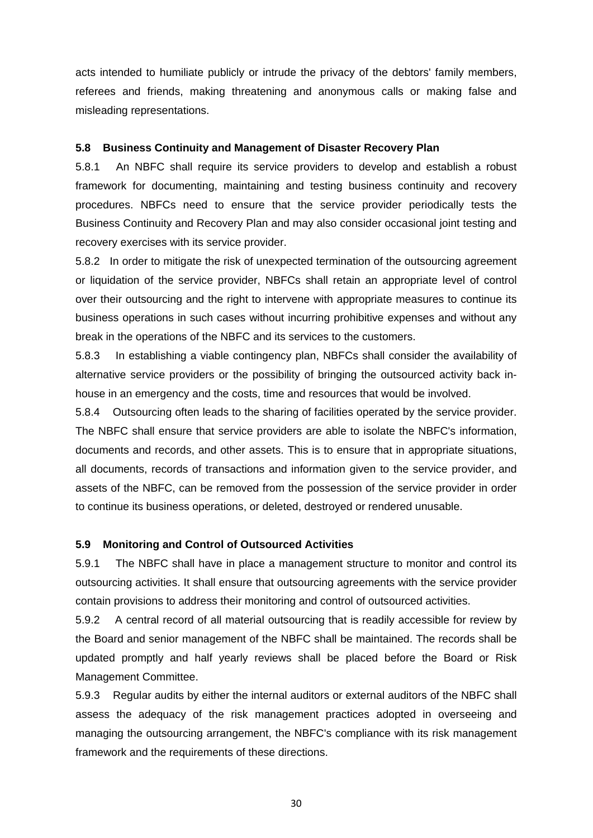acts intended to humiliate publicly or intrude the privacy of the debtors' family members, referees and friends, making threatening and anonymous calls or making false and misleading representations.

## **5.8 Business Continuity and Management of Disaster Recovery Plan**

5.8.1 An NBFC shall require its service providers to develop and establish a robust framework for documenting, maintaining and testing business continuity and recovery procedures. NBFCs need to ensure that the service provider periodically tests the Business Continuity and Recovery Plan and may also consider occasional joint testing and recovery exercises with its service provider.

5.8.2 In order to mitigate the risk of unexpected termination of the outsourcing agreement or liquidation of the service provider, NBFCs shall retain an appropriate level of control over their outsourcing and the right to intervene with appropriate measures to continue its business operations in such cases without incurring prohibitive expenses and without any break in the operations of the NBFC and its services to the customers.

5.8.3 In establishing a viable contingency plan, NBFCs shall consider the availability of alternative service providers or the possibility of bringing the outsourced activity back inhouse in an emergency and the costs, time and resources that would be involved.

5.8.4 Outsourcing often leads to the sharing of facilities operated by the service provider. The NBFC shall ensure that service providers are able to isolate the NBFC's information, documents and records, and other assets. This is to ensure that in appropriate situations, all documents, records of transactions and information given to the service provider, and assets of the NBFC, can be removed from the possession of the service provider in order to continue its business operations, or deleted, destroyed or rendered unusable.

#### **5.9 Monitoring and Control of Outsourced Activities**

5.9.1 The NBFC shall have in place a management structure to monitor and control its outsourcing activities. It shall ensure that outsourcing agreements with the service provider contain provisions to address their monitoring and control of outsourced activities.

5.9.2 A central record of all material outsourcing that is readily accessible for review by the Board and senior management of the NBFC shall be maintained. The records shall be updated promptly and half yearly reviews shall be placed before the Board or Risk Management Committee.

5.9.3 Regular audits by either the internal auditors or external auditors of the NBFC shall assess the adequacy of the risk management practices adopted in overseeing and managing the outsourcing arrangement, the NBFC's compliance with its risk management framework and the requirements of these directions.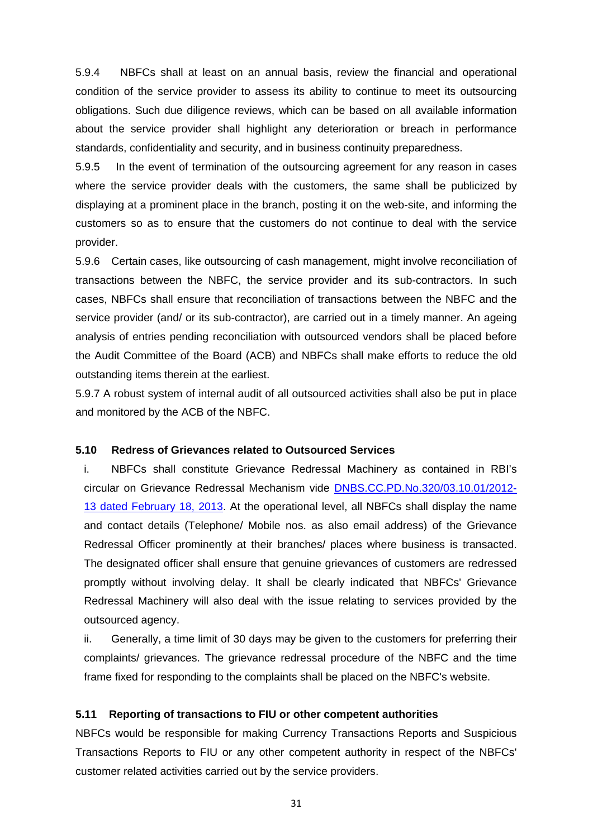5.9.4 NBFCs shall at least on an annual basis, review the financial and operational condition of the service provider to assess its ability to continue to meet its outsourcing obligations. Such due diligence reviews, which can be based on all available information about the service provider shall highlight any deterioration or breach in performance standards, confidentiality and security, and in business continuity preparedness.

5.9.5 In the event of termination of the outsourcing agreement for any reason in cases where the service provider deals with the customers, the same shall be publicized by displaying at a prominent place in the branch, posting it on the web-site, and informing the customers so as to ensure that the customers do not continue to deal with the service provider.

5.9.6 Certain cases, like outsourcing of cash management, might involve reconciliation of transactions between the NBFC, the service provider and its sub-contractors. In such cases, NBFCs shall ensure that reconciliation of transactions between the NBFC and the service provider (and/ or its sub-contractor), are carried out in a timely manner. An ageing analysis of entries pending reconciliation with outsourced vendors shall be placed before the Audit Committee of the Board (ACB) and NBFCs shall make efforts to reduce the old outstanding items therein at the earliest.

5.9.7 A robust system of internal audit of all outsourced activities shall also be put in place and monitored by the ACB of the NBFC.

#### **5.10 Redress of Grievances related to Outsourced Services**

i. NBFCs shall constitute Grievance Redressal Machinery as contained in RBI's circular on Grievance Redressal Mechanism vide [DNBS.CC.PD.No.320/03.10.01/2012-](https://www.rbi.org.in/Scripts/NotificationUser.aspx?Id=7866&Mode=0) [13 dated February 18, 2013.](https://www.rbi.org.in/Scripts/NotificationUser.aspx?Id=7866&Mode=0) At the operational level, all NBFCs shall display the name and contact details (Telephone/ Mobile nos. as also email address) of the Grievance Redressal Officer prominently at their branches/ places where business is transacted. The designated officer shall ensure that genuine grievances of customers are redressed promptly without involving delay. It shall be clearly indicated that NBFCs' Grievance Redressal Machinery will also deal with the issue relating to services provided by the outsourced agency.

ii. Generally, a time limit of 30 days may be given to the customers for preferring their complaints/ grievances. The grievance redressal procedure of the NBFC and the time frame fixed for responding to the complaints shall be placed on the NBFC's website.

## **5.11 Reporting of transactions to FIU or other competent authorities**

NBFCs would be responsible for making Currency Transactions Reports and Suspicious Transactions Reports to FIU or any other competent authority in respect of the NBFCs' customer related activities carried out by the service providers.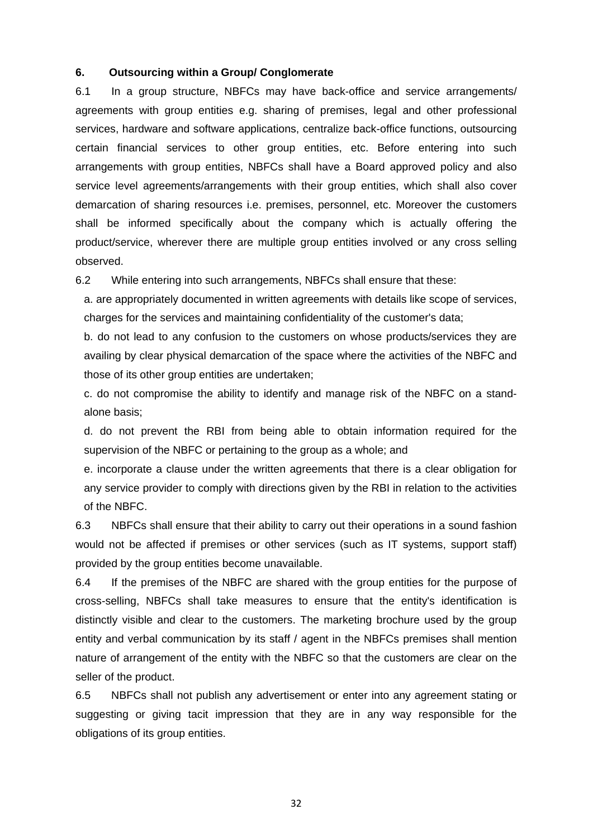### **6. Outsourcing within a Group/ Conglomerate**

6.1 In a group structure, NBFCs may have back-office and service arrangements/ agreements with group entities e.g. sharing of premises, legal and other professional services, hardware and software applications, centralize back-office functions, outsourcing certain financial services to other group entities, etc. Before entering into such arrangements with group entities, NBFCs shall have a Board approved policy and also service level agreements/arrangements with their group entities, which shall also cover demarcation of sharing resources i.e. premises, personnel, etc. Moreover the customers shall be informed specifically about the company which is actually offering the product/service, wherever there are multiple group entities involved or any cross selling observed.

6.2 While entering into such arrangements, NBFCs shall ensure that these:

a. are appropriately documented in written agreements with details like scope of services, charges for the services and maintaining confidentiality of the customer's data;

b. do not lead to any confusion to the customers on whose products/services they are availing by clear physical demarcation of the space where the activities of the NBFC and those of its other group entities are undertaken;

c. do not compromise the ability to identify and manage risk of the NBFC on a standalone basis;

d. do not prevent the RBI from being able to obtain information required for the supervision of the NBFC or pertaining to the group as a whole; and

e. incorporate a clause under the written agreements that there is a clear obligation for any service provider to comply with directions given by the RBI in relation to the activities of the NBFC.

6.3 NBFCs shall ensure that their ability to carry out their operations in a sound fashion would not be affected if premises or other services (such as IT systems, support staff) provided by the group entities become unavailable.

6.4 If the premises of the NBFC are shared with the group entities for the purpose of cross-selling, NBFCs shall take measures to ensure that the entity's identification is distinctly visible and clear to the customers. The marketing brochure used by the group entity and verbal communication by its staff / agent in the NBFCs premises shall mention nature of arrangement of the entity with the NBFC so that the customers are clear on the seller of the product.

6.5 NBFCs shall not publish any advertisement or enter into any agreement stating or suggesting or giving tacit impression that they are in any way responsible for the obligations of its group entities.

32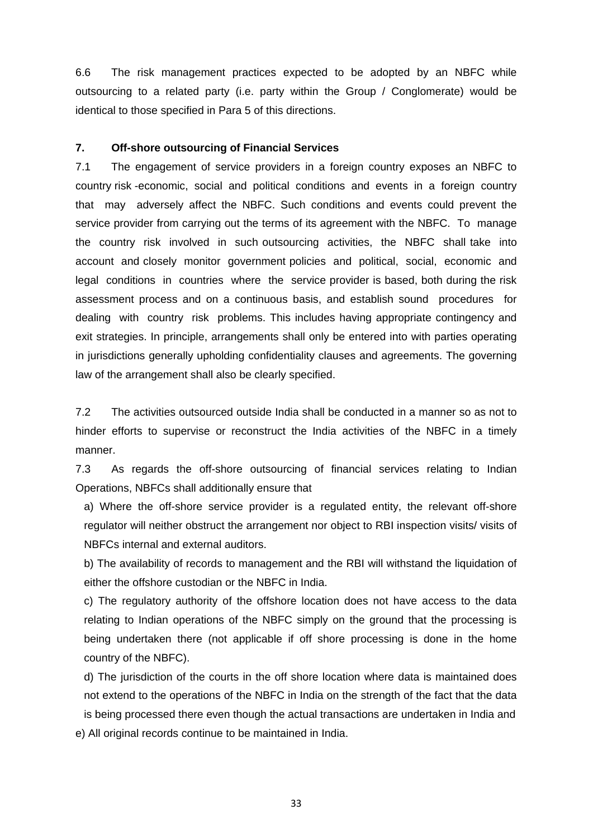6.6 The risk management practices expected to be adopted by an NBFC while outsourcing to a related party (i.e. party within the Group / Conglomerate) would be identical to those specified in Para 5 of this directions.

## **7. Off-shore outsourcing of Financial Services**

7.1 The engagement of service providers in a foreign country exposes an NBFC to country risk -economic, social and political conditions and events in a foreign country that may adversely affect the NBFC. Such conditions and events could prevent the service provider from carrying out the terms of its agreement with the NBFC. To manage the country risk involved in such outsourcing activities, the NBFC shall take into account and closely monitor government policies and political, social, economic and legal conditions in countries where the service provider is based, both during the risk assessment process and on a continuous basis, and establish sound procedures for dealing with country risk problems. This includes having appropriate contingency and exit strategies. In principle, arrangements shall only be entered into with parties operating in jurisdictions generally upholding confidentiality clauses and agreements. The governing law of the arrangement shall also be clearly specified.

7.2 The activities outsourced outside India shall be conducted in a manner so as not to hinder efforts to supervise or reconstruct the India activities of the NBFC in a timely manner.

7.3 As regards the off-shore outsourcing of financial services relating to Indian Operations, NBFCs shall additionally ensure that

a) Where the off-shore service provider is a regulated entity, the relevant off-shore regulator will neither obstruct the arrangement nor object to RBI inspection visits/ visits of NBFCs internal and external auditors.

b) The availability of records to management and the RBI will withstand the liquidation of either the offshore custodian or the NBFC in India.

c) The regulatory authority of the offshore location does not have access to the data relating to Indian operations of the NBFC simply on the ground that the processing is being undertaken there (not applicable if off shore processing is done in the home country of the NBFC).

d) The jurisdiction of the courts in the off shore location where data is maintained does not extend to the operations of the NBFC in India on the strength of the fact that the data is being processed there even though the actual transactions are undertaken in India and e) All original records continue to be maintained in India.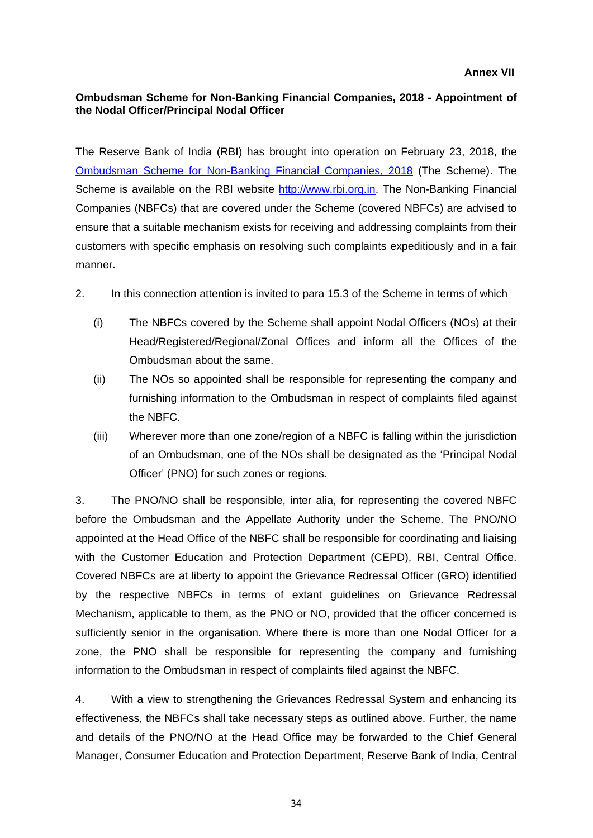## <span id="page-33-0"></span>**Ombudsman Scheme for Non-Banking Financial Companies, 2018 - Appointment of the Nodal Officer/Principal Nodal Officer**

The Reserve Bank of India (RBI) has brought into operation on February 23, 2018, the [Ombudsman Scheme for Non-Banking Financial Companies, 2018](http://rbidocs.rbi.org.in/rdocs/Content/PDFs/NBFC23022018.pdf) (The Scheme). The Scheme is available on the RBI website [http://www.rbi.org.in.](http://www.rbi.org.in/) The Non-Banking Financial Companies (NBFCs) that are covered under the Scheme (covered NBFCs) are advised to ensure that a suitable mechanism exists for receiving and addressing complaints from their customers with specific emphasis on resolving such complaints expeditiously and in a fair manner.

- 2. In this connection attention is invited to para 15.3 of the Scheme in terms of which
	- (i) The NBFCs covered by the Scheme shall appoint Nodal Officers (NOs) at their Head/Registered/Regional/Zonal Offices and inform all the Offices of the Ombudsman about the same.
	- (ii) The NOs so appointed shall be responsible for representing the company and furnishing information to the Ombudsman in respect of complaints filed against the NBFC.
	- (iii) Wherever more than one zone/region of a NBFC is falling within the jurisdiction of an Ombudsman, one of the NOs shall be designated as the 'Principal Nodal Officer' (PNO) for such zones or regions.

3. The PNO/NO shall be responsible, inter alia, for representing the covered NBFC before the Ombudsman and the Appellate Authority under the Scheme. The PNO/NO appointed at the Head Office of the NBFC shall be responsible for coordinating and liaising with the Customer Education and Protection Department (CEPD), RBI, Central Office. Covered NBFCs are at liberty to appoint the Grievance Redressal Officer (GRO) identified by the respective NBFCs in terms of extant guidelines on Grievance Redressal Mechanism, applicable to them, as the PNO or NO, provided that the officer concerned is sufficiently senior in the organisation. Where there is more than one Nodal Officer for a zone, the PNO shall be responsible for representing the company and furnishing information to the Ombudsman in respect of complaints filed against the NBFC.

4. With a view to strengthening the Grievances Redressal System and enhancing its effectiveness, the NBFCs shall take necessary steps as outlined above. Further, the name and details of the PNO/NO at the Head Office may be forwarded to the Chief General Manager, Consumer Education and Protection Department, Reserve Bank of India, Central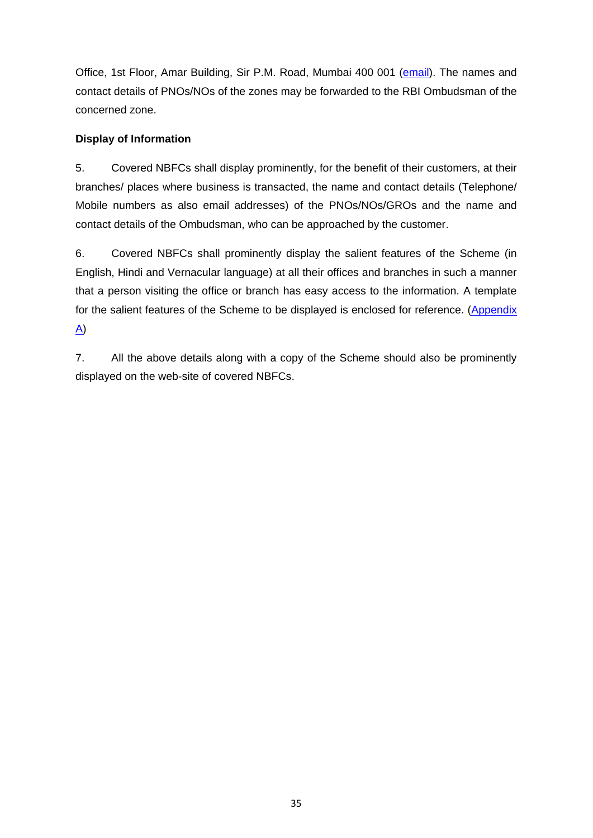Office, 1st Floor, Amar Building, Sir P.M. Road, Mumbai 400 001 [\(email\)](mailto:cgmcepd@rbi.org.in). The names and contact details of PNOs/NOs of the zones may be forwarded to the RBI Ombudsman of the concerned zone.

## **Display of Information**

5. Covered NBFCs shall display prominently, for the benefit of their customers, at their branches/ places where business is transacted, the name and contact details (Telephone/ Mobile numbers as also email addresses) of the PNOs/NOs/GROs and the name and contact details of the Ombudsman, who can be approached by the customer.

6. Covered NBFCs shall prominently display the salient features of the Scheme (in English, Hindi and Vernacular language) at all their offices and branches in such a manner that a person visiting the office or branch has easy access to the information. A template for the salient features of the Scheme to be displayed is enclosed for reference. (Appendix [A\)](#page-35-0)

7. All the above details along with a copy of the Scheme should also be prominently displayed on the web-site of covered NBFCs.